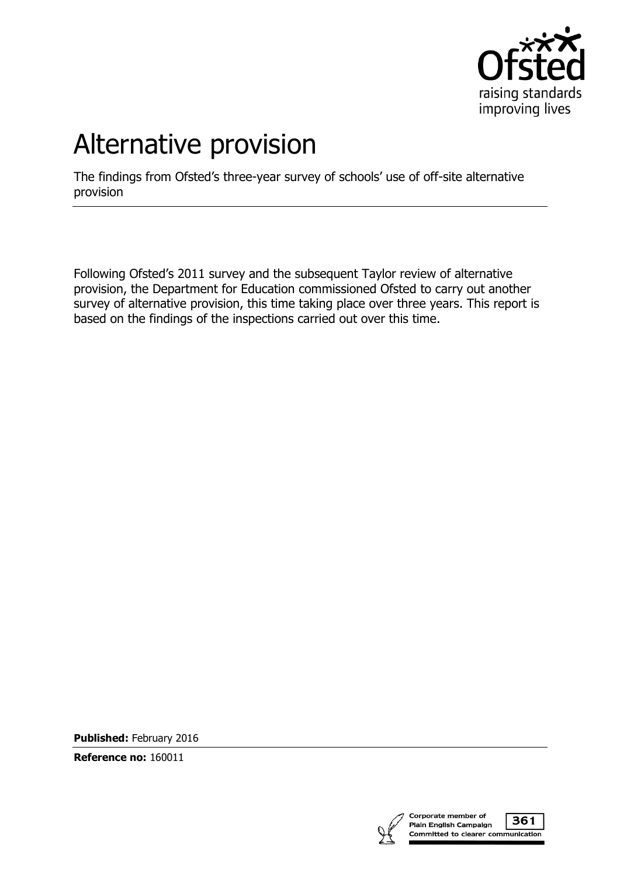

# Alternative provision

The findings from Ofsted's three-year survey of schools' use of off-site alternative provision

Following Ofsted's 2011 survey and the subsequent Taylor review of alternative provision, the Department for Education commissioned Ofsted to carry out another survey of alternative provision, this time taking place over three years. This report is based on the findings of the inspections carried out over this time.

**Published:** February 2016

**Reference no:** 160011

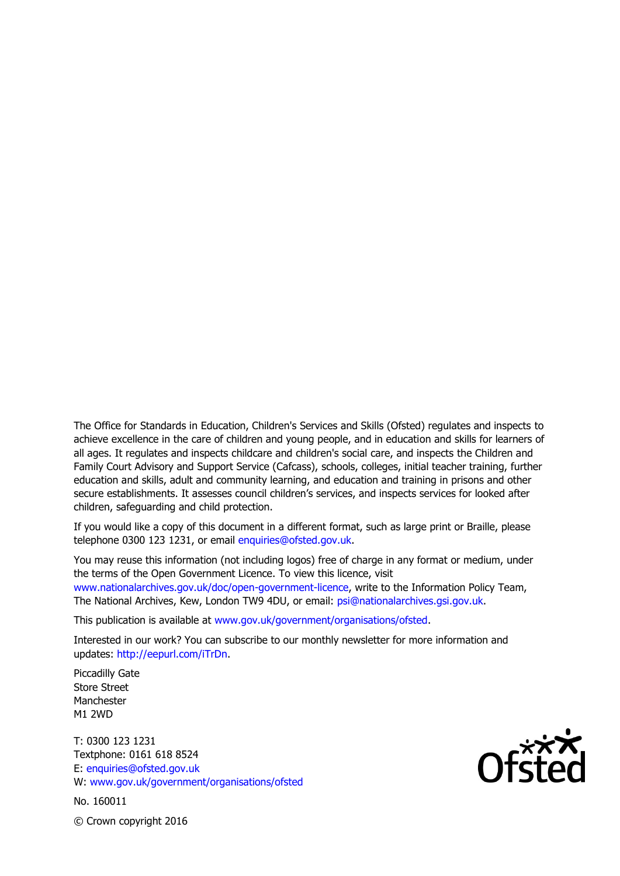The Office for Standards in Education, Children's Services and Skills (Ofsted) regulates and inspects to achieve excellence in the care of children and young people, and in education and skills for learners of all ages. It regulates and inspects childcare and children's social care, and inspects the Children and Family Court Advisory and Support Service (Cafcass), schools, colleges, initial teacher training, further education and skills, adult and community learning, and education and training in prisons and other secure establishments. It assesses council children's services, and inspects services for looked after children, safeguarding and child protection.

If you would like a copy of this document in a different format, such as large print or Braille, please telephone 0300 123 1231, or email enquiries@ofsted.gov.uk.

You may reuse this information (not including logos) free of charge in any format or medium, under the terms of the Open Government Licence. To view this licence, visit www.nationalarchives.gov.uk/doc/open-government-licence, write to the Information Policy Team, The National Archives, Kew, London TW9 4DU, or email: psi@nationalarchives.gsi.gov.uk.

This publication is available at www.gov.uk/government/organisations/ofsted.

Interested in our work? You can subscribe to our monthly newsletter for more information and updates: http://eepurl.com/iTrDn.

Piccadilly Gate Store Street Manchester M1 2WD

T: 0300 123 1231 Textphone: 0161 618 8524 E: enquiries@ofsted.gov.uk W: www.gov.uk/government/organisations/ofsted

No. 160011

 $\mathsf{Of}^\mathsf{xxx}\mathsf{A}$ 

© Crown copyright 2016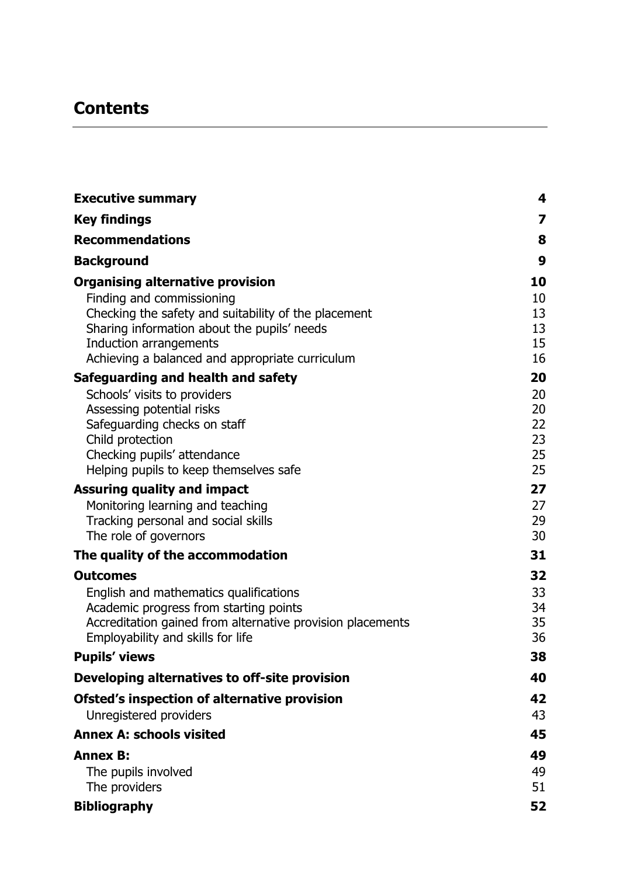# **Contents**

| <b>Executive summary</b>                                     | 4        |
|--------------------------------------------------------------|----------|
| <b>Key findings</b>                                          | 7        |
| <b>Recommendations</b>                                       | 8        |
| <b>Background</b>                                            | 9        |
| <b>Organising alternative provision</b>                      | 10       |
| Finding and commissioning                                    | 10       |
| Checking the safety and suitability of the placement         | 13       |
| Sharing information about the pupils' needs                  | 13       |
| Induction arrangements                                       | 15       |
| Achieving a balanced and appropriate curriculum              | 16       |
| Safeguarding and health and safety                           | 20       |
| Schools' visits to providers                                 | 20       |
| Assessing potential risks                                    | 20       |
| Safeguarding checks on staff                                 | 22       |
| Child protection                                             | 23       |
| Checking pupils' attendance                                  | 25       |
| Helping pupils to keep themselves safe                       | 25       |
| <b>Assuring quality and impact</b>                           | 27       |
| Monitoring learning and teaching                             | 27       |
| Tracking personal and social skills<br>The role of governors | 29<br>30 |
|                                                              |          |
| The quality of the accommodation                             | 31       |
| <b>Outcomes</b>                                              | 32       |
| English and mathematics qualifications                       | 33       |
| Academic progress from starting points                       | 34       |
| Accreditation gained from alternative provision placements   | 35       |
| Employability and skills for life                            | 36       |
| <b>Pupils' views</b>                                         | 38       |
| Developing alternatives to off-site provision                | 40       |
| Ofsted's inspection of alternative provision                 | 42       |
| Unregistered providers                                       | 43       |
| <b>Annex A: schools visited</b>                              | 45       |
| <b>Annex B:</b>                                              | 49       |
| The pupils involved                                          | 49       |
| The providers                                                | 51       |
| <b>Bibliography</b>                                          | 52       |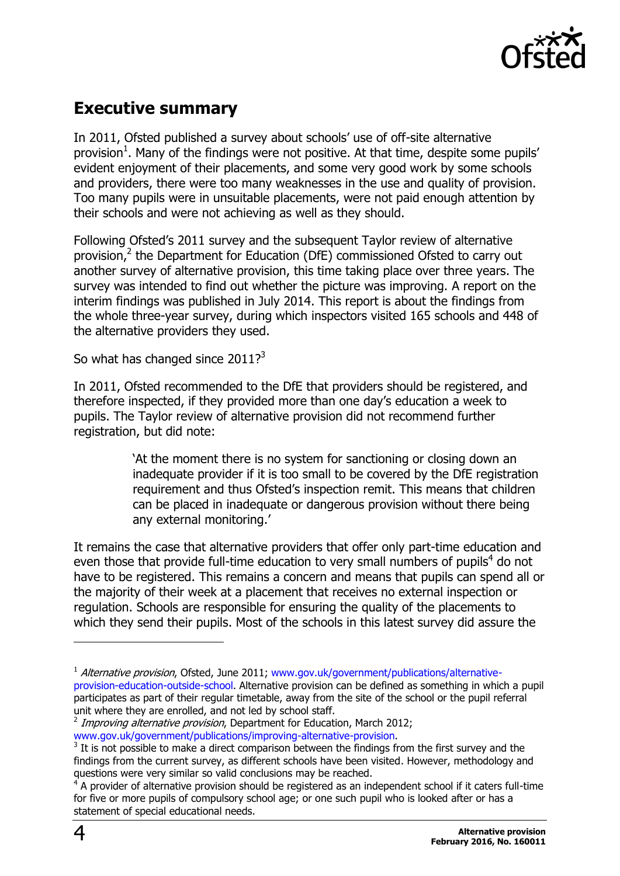

# <span id="page-3-0"></span>**Executive summary**

In 2011, Ofsted published a survey about schools' use of off-site alternative provision<sup>1</sup>. Many of the findings were not positive. At that time, despite some pupils' evident enjoyment of their placements, and some very good work by some schools and providers, there were too many weaknesses in the use and quality of provision. Too many pupils were in unsuitable placements, were not paid enough attention by their schools and were not achieving as well as they should.

Following Ofsted's 2011 survey and the subsequent Taylor review of alternative provision,<sup>2</sup> the Department for Education (DfE) commissioned Ofsted to carry out another survey of alternative provision, this time taking place over three years. The survey was intended to find out whether the picture was improving. A report on the interim findings was published in July 2014. This report is about the findings from the whole three-year survey, during which inspectors visited 165 schools and 448 of the alternative providers they used.

So what has changed since 2011? $3$ 

In 2011, Ofsted recommended to the DfE that providers should be registered, and therefore inspected, if they provided more than one day's education a week to pupils. The Taylor review of alternative provision did not recommend further registration, but did note:

> 'At the moment there is no system for sanctioning or closing down an inadequate provider if it is too small to be covered by the DfE registration requirement and thus Ofsted's inspection remit. This means that children can be placed in inadequate or dangerous provision without there being any external monitoring.'

It remains the case that alternative providers that offer only part-time education and even those that provide full-time education to very small numbers of pupils<sup>4</sup> do not have to be registered. This remains a concern and means that pupils can spend all or the majority of their week at a placement that receives no external inspection or regulation. Schools are responsible for ensuring the quality of the placements to which they send their pupils. Most of the schools in this latest survey did assure the

j

<sup>&</sup>lt;sup>1</sup> Alternative provision, Ofsted, June 2011; [www.gov.uk/government/publications/alternative](http://www.gov.uk/government/publications/alternative-provision-education-outside-school)[provision-education-outside-school.](http://www.gov.uk/government/publications/alternative-provision-education-outside-school) Alternative provision can be defined as something in which a pupil participates as part of their regular timetable, away from the site of the school or the pupil referral unit where they are enrolled, and not led by school staff.

<sup>&</sup>lt;sup>2</sup> Improving alternative provision, Department for Education, March 2012; [www.gov.uk/government/publications/improving-alternative-provision.](http://www.gov.uk/government/publications/improving-alternative-provision)

 $3$  It is not possible to make a direct comparison between the findings from the first survey and the findings from the current survey, as different schools have been visited. However, methodology and questions were very similar so valid conclusions may be reached.

 $4$  A provider of alternative provision should be registered as an independent school if it caters full-time for five or more pupils of compulsory school age; or one such pupil who is looked after or has a statement of special educational needs.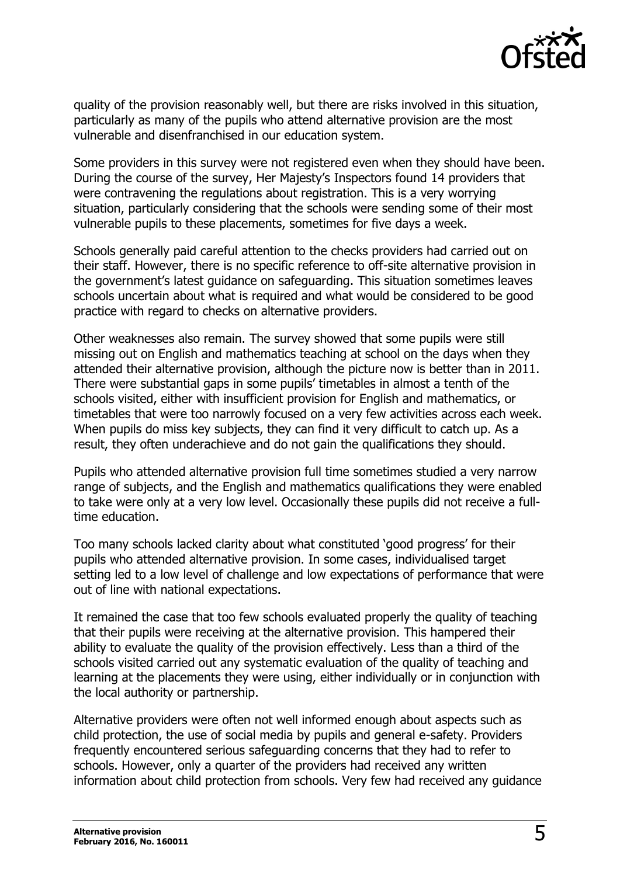

quality of the provision reasonably well, but there are risks involved in this situation, particularly as many of the pupils who attend alternative provision are the most vulnerable and disenfranchised in our education system.

Some providers in this survey were not registered even when they should have been. During the course of the survey, Her Majesty's Inspectors found 14 providers that were contravening the regulations about registration. This is a very worrying situation, particularly considering that the schools were sending some of their most vulnerable pupils to these placements, sometimes for five days a week.

Schools generally paid careful attention to the checks providers had carried out on their staff. However, there is no specific reference to off-site alternative provision in the government's latest guidance on safeguarding. This situation sometimes leaves schools uncertain about what is required and what would be considered to be good practice with regard to checks on alternative providers.

Other weaknesses also remain. The survey showed that some pupils were still missing out on English and mathematics teaching at school on the days when they attended their alternative provision, although the picture now is better than in 2011. There were substantial gaps in some pupils' timetables in almost a tenth of the schools visited, either with insufficient provision for English and mathematics, or timetables that were too narrowly focused on a very few activities across each week. When pupils do miss key subjects, they can find it very difficult to catch up. As a result, they often underachieve and do not gain the qualifications they should.

Pupils who attended alternative provision full time sometimes studied a very narrow range of subjects, and the English and mathematics qualifications they were enabled to take were only at a very low level. Occasionally these pupils did not receive a fulltime education.

Too many schools lacked clarity about what constituted 'good progress' for their pupils who attended alternative provision. In some cases, individualised target setting led to a low level of challenge and low expectations of performance that were out of line with national expectations.

It remained the case that too few schools evaluated properly the quality of teaching that their pupils were receiving at the alternative provision. This hampered their ability to evaluate the quality of the provision effectively. Less than a third of the schools visited carried out any systematic evaluation of the quality of teaching and learning at the placements they were using, either individually or in conjunction with the local authority or partnership.

Alternative providers were often not well informed enough about aspects such as child protection, the use of social media by pupils and general e-safety. Providers frequently encountered serious safeguarding concerns that they had to refer to schools. However, only a quarter of the providers had received any written information about child protection from schools. Very few had received any guidance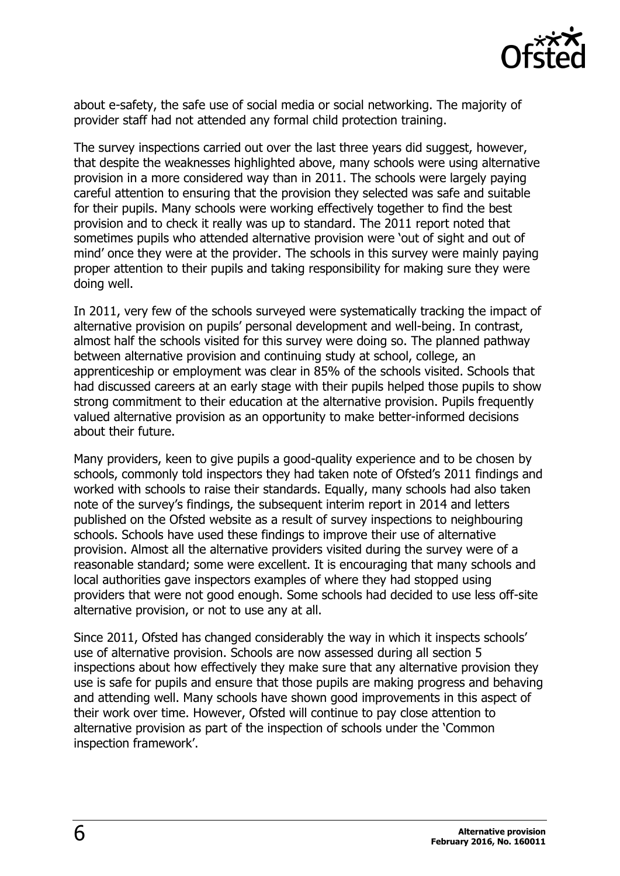

about e-safety, the safe use of social media or social networking. The majority of provider staff had not attended any formal child protection training.

The survey inspections carried out over the last three years did suggest, however, that despite the weaknesses highlighted above, many schools were using alternative provision in a more considered way than in 2011. The schools were largely paying careful attention to ensuring that the provision they selected was safe and suitable for their pupils. Many schools were working effectively together to find the best provision and to check it really was up to standard. The 2011 report noted that sometimes pupils who attended alternative provision were 'out of sight and out of mind' once they were at the provider. The schools in this survey were mainly paying proper attention to their pupils and taking responsibility for making sure they were doing well.

In 2011, very few of the schools surveyed were systematically tracking the impact of alternative provision on pupils' personal development and well-being. In contrast, almost half the schools visited for this survey were doing so. The planned pathway between alternative provision and continuing study at school, college, an apprenticeship or employment was clear in 85% of the schools visited. Schools that had discussed careers at an early stage with their pupils helped those pupils to show strong commitment to their education at the alternative provision. Pupils frequently valued alternative provision as an opportunity to make better-informed decisions about their future.

Many providers, keen to give pupils a good-quality experience and to be chosen by schools, commonly told inspectors they had taken note of Ofsted's 2011 findings and worked with schools to raise their standards. Equally, many schools had also taken note of the survey's findings, the subsequent interim report in 2014 and letters published on the Ofsted website as a result of survey inspections to neighbouring schools. Schools have used these findings to improve their use of alternative provision. Almost all the alternative providers visited during the survey were of a reasonable standard; some were excellent. It is encouraging that many schools and local authorities gave inspectors examples of where they had stopped using providers that were not good enough. Some schools had decided to use less off-site alternative provision, or not to use any at all.

Since 2011, Ofsted has changed considerably the way in which it inspects schools' use of alternative provision. Schools are now assessed during all section 5 inspections about how effectively they make sure that any alternative provision they use is safe for pupils and ensure that those pupils are making progress and behaving and attending well. Many schools have shown good improvements in this aspect of their work over time. However, Ofsted will continue to pay close attention to alternative provision as part of the inspection of schools under the 'Common inspection framework'.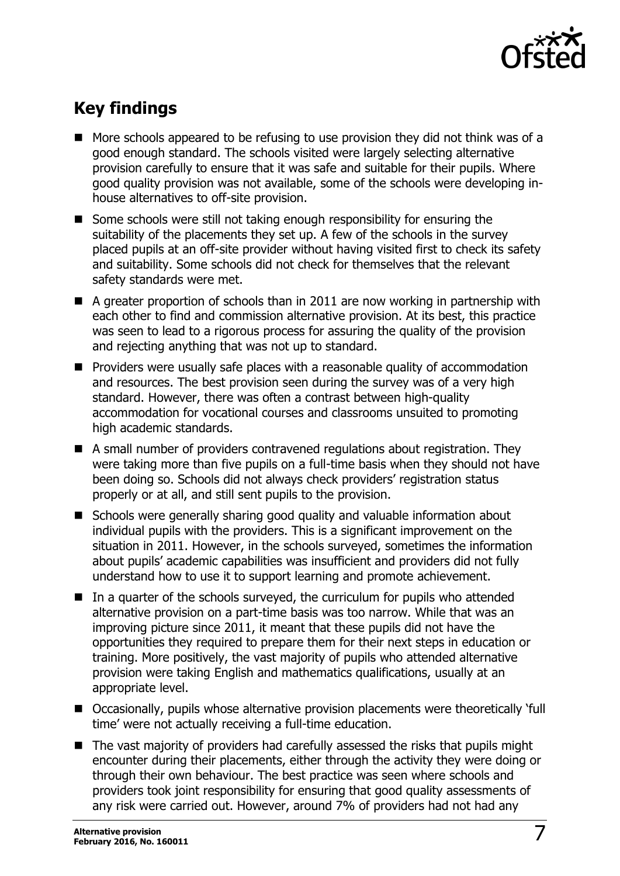

# <span id="page-6-0"></span>**Key findings**

- More schools appeared to be refusing to use provision they did not think was of a good enough standard. The schools visited were largely selecting alternative provision carefully to ensure that it was safe and suitable for their pupils. Where good quality provision was not available, some of the schools were developing inhouse alternatives to off-site provision.
- Some schools were still not taking enough responsibility for ensuring the suitability of the placements they set up. A few of the schools in the survey placed pupils at an off-site provider without having visited first to check its safety and suitability. Some schools did not check for themselves that the relevant safety standards were met.
- $\blacksquare$  A greater proportion of schools than in 2011 are now working in partnership with each other to find and commission alternative provision. At its best, this practice was seen to lead to a rigorous process for assuring the quality of the provision and rejecting anything that was not up to standard.
- **Providers were usually safe places with a reasonable quality of accommodation** and resources. The best provision seen during the survey was of a very high standard. However, there was often a contrast between high-quality accommodation for vocational courses and classrooms unsuited to promoting high academic standards.
- A small number of providers contravened regulations about registration. They were taking more than five pupils on a full-time basis when they should not have been doing so. Schools did not always check providers' registration status properly or at all, and still sent pupils to the provision.
- Schools were generally sharing good quality and valuable information about individual pupils with the providers. This is a significant improvement on the situation in 2011. However, in the schools surveyed, sometimes the information about pupils' academic capabilities was insufficient and providers did not fully understand how to use it to support learning and promote achievement.
- In a quarter of the schools surveyed, the curriculum for pupils who attended alternative provision on a part-time basis was too narrow. While that was an improving picture since 2011, it meant that these pupils did not have the opportunities they required to prepare them for their next steps in education or training. More positively, the vast majority of pupils who attended alternative provision were taking English and mathematics qualifications, usually at an appropriate level.
- Occasionally, pupils whose alternative provision placements were theoretically 'full time' were not actually receiving a full-time education.
- $\blacksquare$  The vast majority of providers had carefully assessed the risks that pupils might encounter during their placements, either through the activity they were doing or through their own behaviour. The best practice was seen where schools and providers took joint responsibility for ensuring that good quality assessments of any risk were carried out. However, around 7% of providers had not had any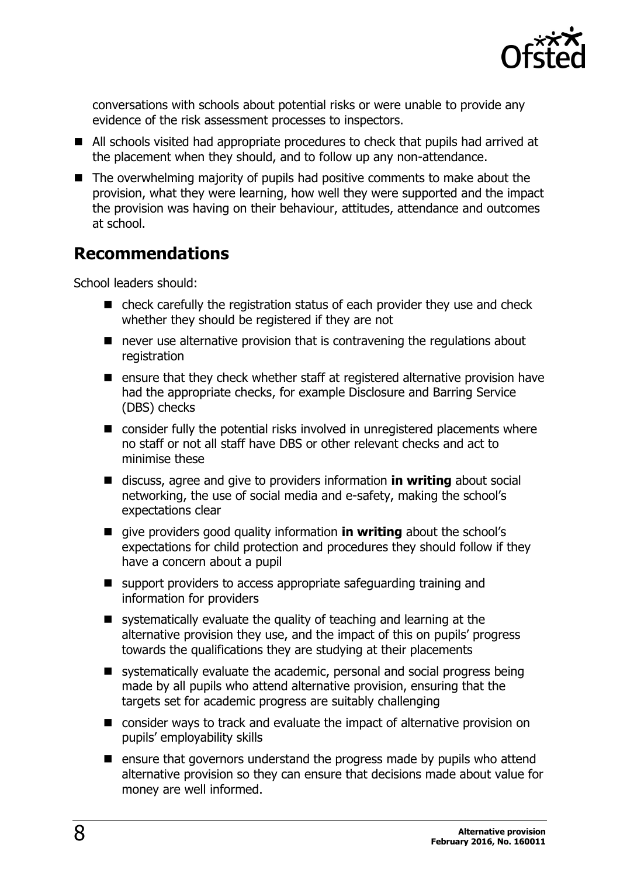

conversations with schools about potential risks or were unable to provide any evidence of the risk assessment processes to inspectors.

- All schools visited had appropriate procedures to check that pupils had arrived at the placement when they should, and to follow up any non-attendance.
- The overwhelming majority of pupils had positive comments to make about the provision, what they were learning, how well they were supported and the impact the provision was having on their behaviour, attitudes, attendance and outcomes at school.

### <span id="page-7-0"></span>**Recommendations**

School leaders should:

- check carefully the registration status of each provider they use and check whether they should be registered if they are not
- never use alternative provision that is contravening the regulations about registration
- $\blacksquare$  ensure that they check whether staff at registered alternative provision have had the appropriate checks, for example Disclosure and Barring Service (DBS) checks
- consider fully the potential risks involved in unregistered placements where no staff or not all staff have DBS or other relevant checks and act to minimise these
- discuss, agree and give to providers information **in writing** about social networking, the use of social media and e-safety, making the school's expectations clear
- **E** give providers good quality information **in writing** about the school's expectations for child protection and procedures they should follow if they have a concern about a pupil
- support providers to access appropriate safeguarding training and information for providers
- systematically evaluate the quality of teaching and learning at the alternative provision they use, and the impact of this on pupils' progress towards the qualifications they are studying at their placements
- systematically evaluate the academic, personal and social progress being made by all pupils who attend alternative provision, ensuring that the targets set for academic progress are suitably challenging
- consider ways to track and evaluate the impact of alternative provision on pupils' employability skills
- $\blacksquare$  ensure that governors understand the progress made by pupils who attend alternative provision so they can ensure that decisions made about value for money are well informed.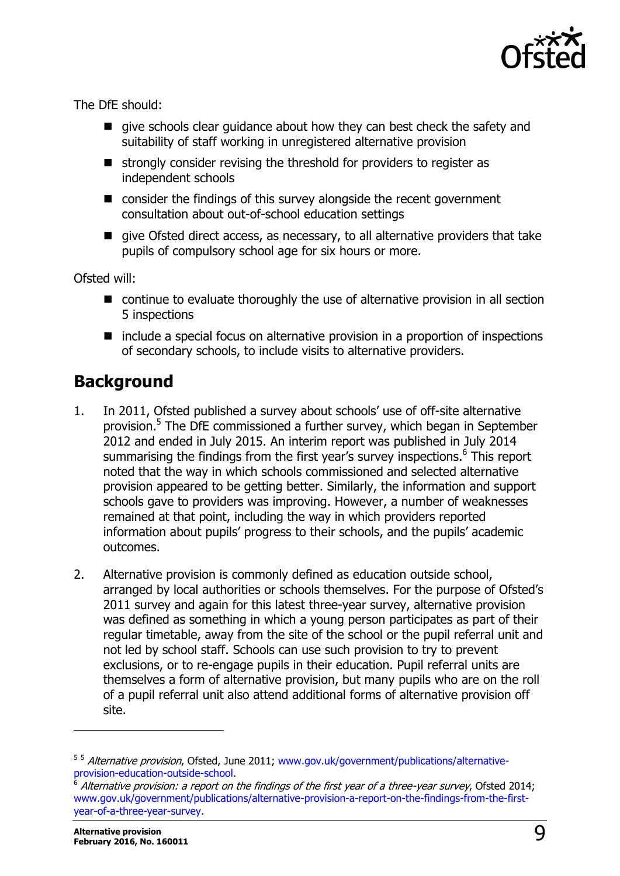

The DfE should:

- qive schools clear quidance about how they can best check the safety and suitability of staff working in unregistered alternative provision
- $\blacksquare$  strongly consider revising the threshold for providers to register as independent schools
- consider the findings of this survey alongside the recent government consultation about out-of-school education settings
- qive Ofsted direct access, as necessary, to all alternative providers that take pupils of compulsory school age for six hours or more.

Ofsted will:

- continue to evaluate thoroughly the use of alternative provision in all section 5 inspections
- $\blacksquare$  include a special focus on alternative provision in a proportion of inspections of secondary schools, to include visits to alternative providers.

### <span id="page-8-0"></span>**Background**

- 1. In 2011, Ofsted published a survey about schools' use of off-site alternative provision. 5 The DfE commissioned a further survey, which began in September 2012 and ended in July 2015. An interim report was published in July 2014 summarising the findings from the first year's survey inspections.<sup>6</sup> This report noted that the way in which schools commissioned and selected alternative provision appeared to be getting better. Similarly, the information and support schools gave to providers was improving. However, a number of weaknesses remained at that point, including the way in which providers reported information about pupils' progress to their schools, and the pupils' academic outcomes.
- 2. Alternative provision is commonly defined as education outside school, arranged by local authorities or schools themselves. For the purpose of Ofsted's 2011 survey and again for this latest three-year survey, alternative provision was defined as something in which a young person participates as part of their regular timetable, away from the site of the school or the pupil referral unit and not led by school staff. Schools can use such provision to try to prevent exclusions, or to re-engage pupils in their education. Pupil referral units are themselves a form of alternative provision, but many pupils who are on the roll of a pupil referral unit also attend additional forms of alternative provision off site.

 $\overline{a}$ 

<sup>&</sup>lt;sup>5 5</sup> Alternative provision, Ofsted, June 2011; [www.gov.uk/government/publications/alternative](http://www.gov.uk/government/publications/alternative-provision-education-outside-school)[provision-education-outside-school.](http://www.gov.uk/government/publications/alternative-provision-education-outside-school)

<sup>6</sup> Alternative provision: a report on the findings of the first year of a three-year survey, Ofsted 2014; [www.gov.uk/government/publications/alternative-provision-a-report-on-the-findings-from-the-first](http://www.gov.uk/government/publications/alternative-provision-a-report-on-the-findings-from-the-first-year-of-a-three-year-survey)[year-of-a-three-year-survey.](http://www.gov.uk/government/publications/alternative-provision-a-report-on-the-findings-from-the-first-year-of-a-three-year-survey)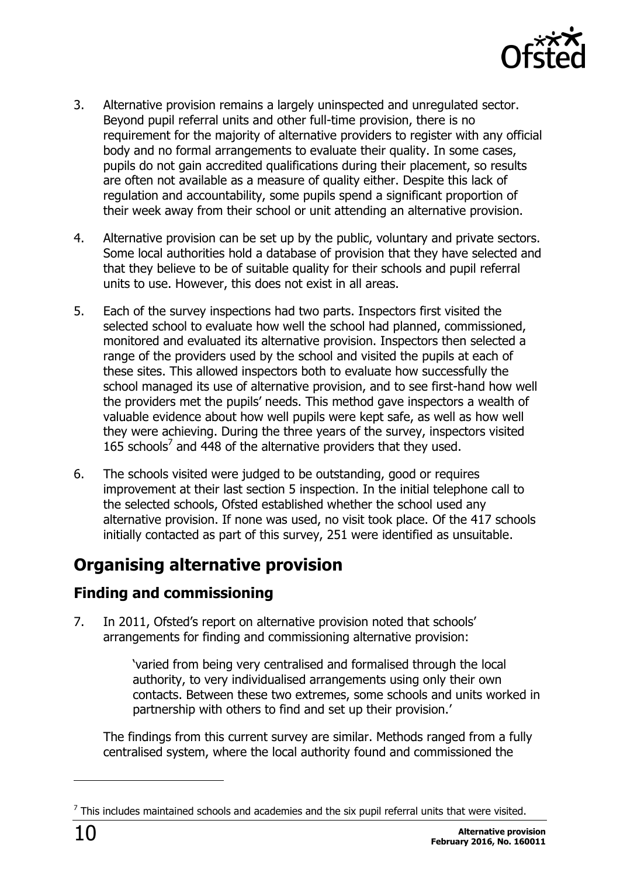

- 3. Alternative provision remains a largely uninspected and unregulated sector. Beyond pupil referral units and other full-time provision, there is no requirement for the majority of alternative providers to register with any official body and no formal arrangements to evaluate their quality. In some cases, pupils do not gain accredited qualifications during their placement, so results are often not available as a measure of quality either. Despite this lack of regulation and accountability, some pupils spend a significant proportion of their week away from their school or unit attending an alternative provision.
- 4. Alternative provision can be set up by the public, voluntary and private sectors. Some local authorities hold a database of provision that they have selected and that they believe to be of suitable quality for their schools and pupil referral units to use. However, this does not exist in all areas.
- 5. Each of the survey inspections had two parts. Inspectors first visited the selected school to evaluate how well the school had planned, commissioned, monitored and evaluated its alternative provision. Inspectors then selected a range of the providers used by the school and visited the pupils at each of these sites. This allowed inspectors both to evaluate how successfully the school managed its use of alternative provision, and to see first-hand how well the providers met the pupils' needs. This method gave inspectors a wealth of valuable evidence about how well pupils were kept safe, as well as how well they were achieving. During the three years of the survey, inspectors visited  $165$  schools<sup>7</sup> and 448 of the alternative providers that they used.
- 6. The schools visited were judged to be outstanding, good or requires improvement at their last section 5 inspection. In the initial telephone call to the selected schools, Ofsted established whether the school used any alternative provision. If none was used, no visit took place. Of the 417 schools initially contacted as part of this survey, 251 were identified as unsuitable.

# <span id="page-9-0"></span>**Organising alternative provision**

### <span id="page-9-1"></span>**Finding and commissioning**

7. In 2011, Ofsted's report on alternative provision noted that schools' arrangements for finding and commissioning alternative provision:

> 'varied from being very centralised and formalised through the local authority, to very individualised arrangements using only their own contacts. Between these two extremes, some schools and units worked in partnership with others to find and set up their provision.'

The findings from this current survey are similar. Methods ranged from a fully centralised system, where the local authority found and commissioned the

j

 $<sup>7</sup>$  This includes maintained schools and academies and the six pupil referral units that were visited.</sup>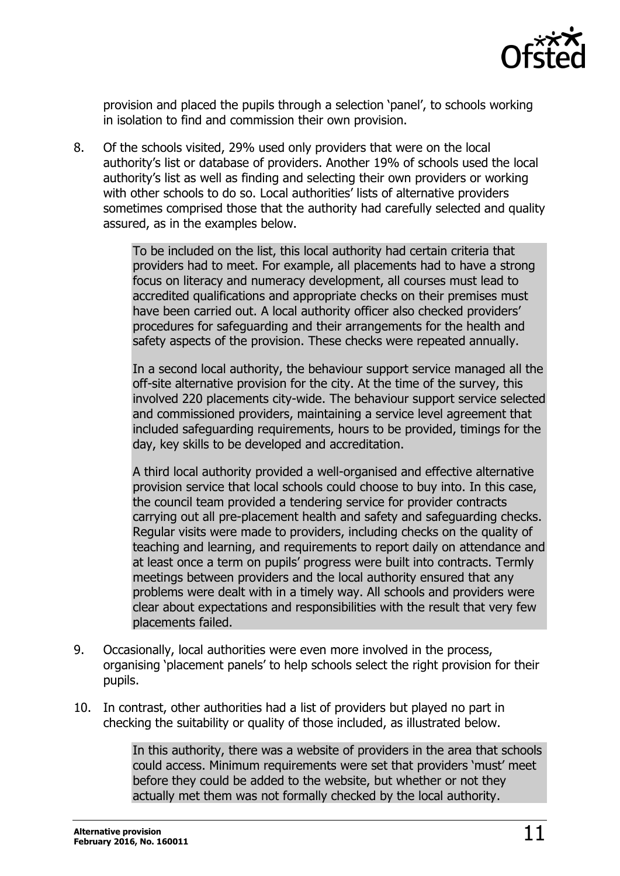

provision and placed the pupils through a selection 'panel', to schools working in isolation to find and commission their own provision.

8. Of the schools visited, 29% used only providers that were on the local authority's list or database of providers. Another 19% of schools used the local authority's list as well as finding and selecting their own providers or working with other schools to do so. Local authorities' lists of alternative providers sometimes comprised those that the authority had carefully selected and quality assured, as in the examples below.

> To be included on the list, this local authority had certain criteria that providers had to meet. For example, all placements had to have a strong focus on literacy and numeracy development, all courses must lead to accredited qualifications and appropriate checks on their premises must have been carried out. A local authority officer also checked providers' procedures for safeguarding and their arrangements for the health and safety aspects of the provision. These checks were repeated annually.

In a second local authority, the behaviour support service managed all the off-site alternative provision for the city. At the time of the survey, this involved 220 placements city-wide. The behaviour support service selected and commissioned providers, maintaining a service level agreement that included safeguarding requirements, hours to be provided, timings for the day, key skills to be developed and accreditation.

A third local authority provided a well-organised and effective alternative provision service that local schools could choose to buy into. In this case, the council team provided a tendering service for provider contracts carrying out all pre-placement health and safety and safeguarding checks. Regular visits were made to providers, including checks on the quality of teaching and learning, and requirements to report daily on attendance and at least once a term on pupils' progress were built into contracts. Termly meetings between providers and the local authority ensured that any problems were dealt with in a timely way. All schools and providers were clear about expectations and responsibilities with the result that very few placements failed.

- 9. Occasionally, local authorities were even more involved in the process, organising 'placement panels' to help schools select the right provision for their pupils.
- 10. In contrast, other authorities had a list of providers but played no part in checking the suitability or quality of those included, as illustrated below.

In this authority, there was a website of providers in the area that schools could access. Minimum requirements were set that providers 'must' meet before they could be added to the website, but whether or not they actually met them was not formally checked by the local authority.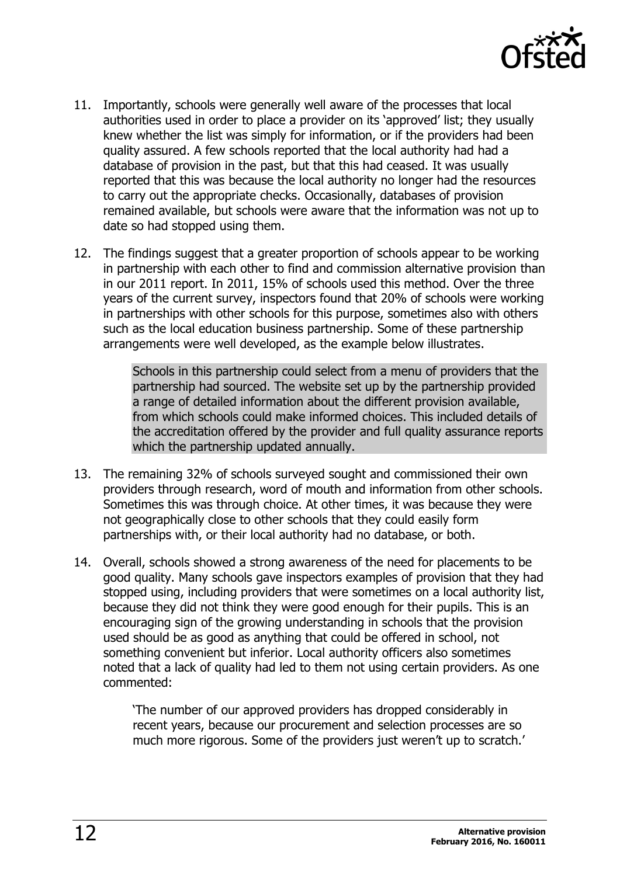

- 11. Importantly, schools were generally well aware of the processes that local authorities used in order to place a provider on its 'approved' list; they usually knew whether the list was simply for information, or if the providers had been quality assured. A few schools reported that the local authority had had a database of provision in the past, but that this had ceased. It was usually reported that this was because the local authority no longer had the resources to carry out the appropriate checks. Occasionally, databases of provision remained available, but schools were aware that the information was not up to date so had stopped using them.
- 12. The findings suggest that a greater proportion of schools appear to be working in partnership with each other to find and commission alternative provision than in our 2011 report. In 2011, 15% of schools used this method. Over the three years of the current survey, inspectors found that 20% of schools were working in partnerships with other schools for this purpose, sometimes also with others such as the local education business partnership. Some of these partnership arrangements were well developed, as the example below illustrates.

Schools in this partnership could select from a menu of providers that the partnership had sourced. The website set up by the partnership provided a range of detailed information about the different provision available, from which schools could make informed choices. This included details of the accreditation offered by the provider and full quality assurance reports which the partnership updated annually.

- 13. The remaining 32% of schools surveyed sought and commissioned their own providers through research, word of mouth and information from other schools. Sometimes this was through choice. At other times, it was because they were not geographically close to other schools that they could easily form partnerships with, or their local authority had no database, or both.
- 14. Overall, schools showed a strong awareness of the need for placements to be good quality. Many schools gave inspectors examples of provision that they had stopped using, including providers that were sometimes on a local authority list, because they did not think they were good enough for their pupils. This is an encouraging sign of the growing understanding in schools that the provision used should be as good as anything that could be offered in school, not something convenient but inferior. Local authority officers also sometimes noted that a lack of quality had led to them not using certain providers. As one commented:

'The number of our approved providers has dropped considerably in recent years, because our procurement and selection processes are so much more rigorous. Some of the providers just weren't up to scratch.'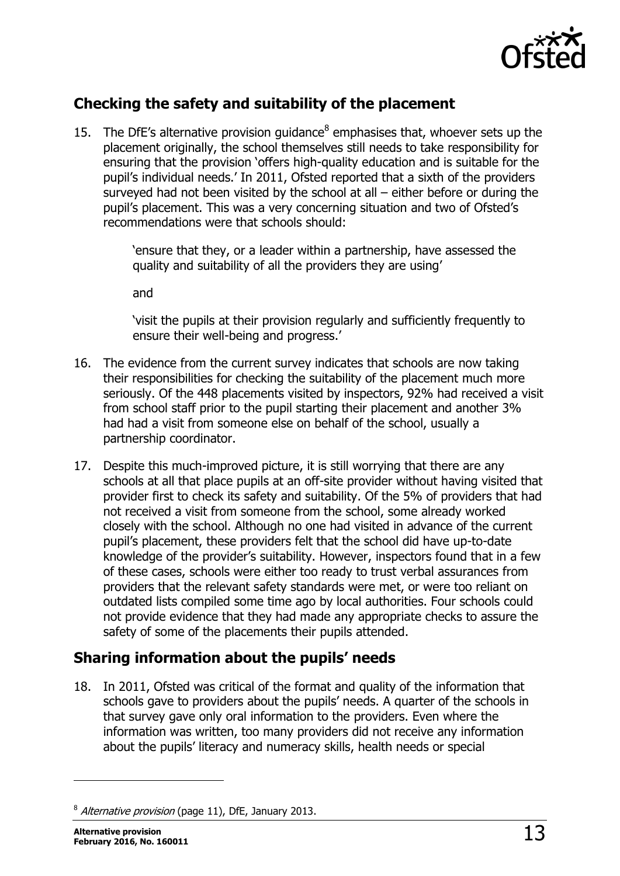

### <span id="page-12-0"></span>**Checking the safety and suitability of the placement**

15. The DfE's alternative provision guidance $<sup>8</sup>$  emphasises that, whoever sets up the</sup> placement originally, the school themselves still needs to take responsibility for ensuring that the provision 'offers high-quality education and is suitable for the pupil's individual needs.' In 2011, Ofsted reported that a sixth of the providers surveyed had not been visited by the school at all  $-$  either before or during the pupil's placement. This was a very concerning situation and two of Ofsted's recommendations were that schools should:

> 'ensure that they, or a leader within a partnership, have assessed the quality and suitability of all the providers they are using'

and

'visit the pupils at their provision regularly and sufficiently frequently to ensure their well-being and progress.'

- 16. The evidence from the current survey indicates that schools are now taking their responsibilities for checking the suitability of the placement much more seriously. Of the 448 placements visited by inspectors, 92% had received a visit from school staff prior to the pupil starting their placement and another 3% had had a visit from someone else on behalf of the school, usually a partnership coordinator.
- 17. Despite this much-improved picture, it is still worrying that there are any schools at all that place pupils at an off-site provider without having visited that provider first to check its safety and suitability. Of the 5% of providers that had not received a visit from someone from the school, some already worked closely with the school. Although no one had visited in advance of the current pupil's placement, these providers felt that the school did have up-to-date knowledge of the provider's suitability. However, inspectors found that in a few of these cases, schools were either too ready to trust verbal assurances from providers that the relevant safety standards were met, or were too reliant on outdated lists compiled some time ago by local authorities. Four schools could not provide evidence that they had made any appropriate checks to assure the safety of some of the placements their pupils attended.

### <span id="page-12-1"></span>**Sharing information about the pupils' needs**

18. In 2011, Ofsted was critical of the format and quality of the information that schools gave to providers about the pupils' needs. A quarter of the schools in that survey gave only oral information to the providers. Even where the information was written, too many providers did not receive any information about the pupils' literacy and numeracy skills, health needs or special

j

<sup>&</sup>lt;sup>8</sup> Alternative provision (page 11), DfE, January 2013.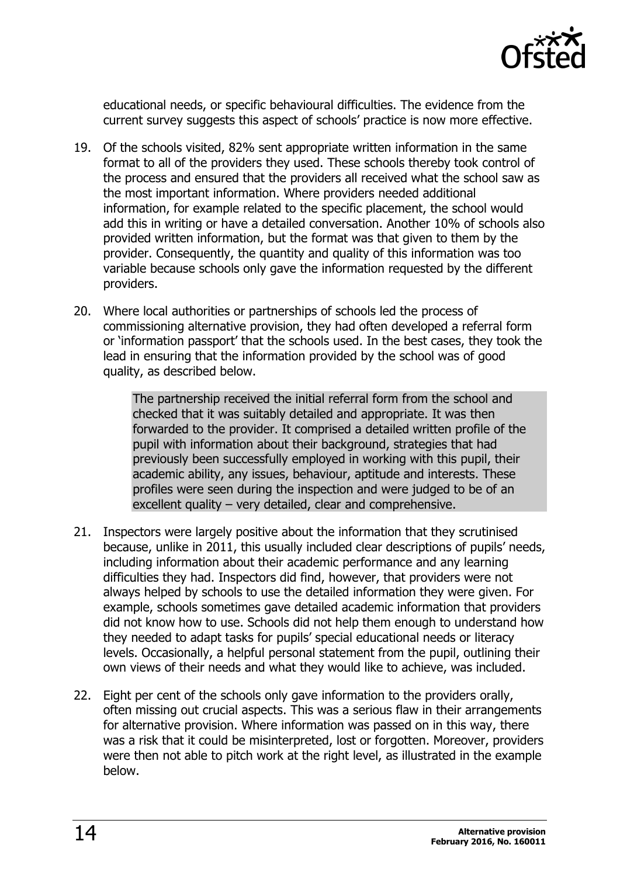

educational needs, or specific behavioural difficulties. The evidence from the current survey suggests this aspect of schools' practice is now more effective.

- 19. Of the schools visited, 82% sent appropriate written information in the same format to all of the providers they used. These schools thereby took control of the process and ensured that the providers all received what the school saw as the most important information. Where providers needed additional information, for example related to the specific placement, the school would add this in writing or have a detailed conversation. Another 10% of schools also provided written information, but the format was that given to them by the provider. Consequently, the quantity and quality of this information was too variable because schools only gave the information requested by the different providers.
- 20. Where local authorities or partnerships of schools led the process of commissioning alternative provision, they had often developed a referral form or 'information passport' that the schools used. In the best cases, they took the lead in ensuring that the information provided by the school was of good quality, as described below.

The partnership received the initial referral form from the school and checked that it was suitably detailed and appropriate. It was then forwarded to the provider. It comprised a detailed written profile of the pupil with information about their background, strategies that had previously been successfully employed in working with this pupil, their academic ability, any issues, behaviour, aptitude and interests. These profiles were seen during the inspection and were judged to be of an excellent quality – very detailed, clear and comprehensive.

- 21. Inspectors were largely positive about the information that they scrutinised because, unlike in 2011, this usually included clear descriptions of pupils' needs, including information about their academic performance and any learning difficulties they had. Inspectors did find, however, that providers were not always helped by schools to use the detailed information they were given. For example, schools sometimes gave detailed academic information that providers did not know how to use. Schools did not help them enough to understand how they needed to adapt tasks for pupils' special educational needs or literacy levels. Occasionally, a helpful personal statement from the pupil, outlining their own views of their needs and what they would like to achieve, was included.
- 22. Eight per cent of the schools only gave information to the providers orally, often missing out crucial aspects. This was a serious flaw in their arrangements for alternative provision. Where information was passed on in this way, there was a risk that it could be misinterpreted, lost or forgotten. Moreover, providers were then not able to pitch work at the right level, as illustrated in the example below.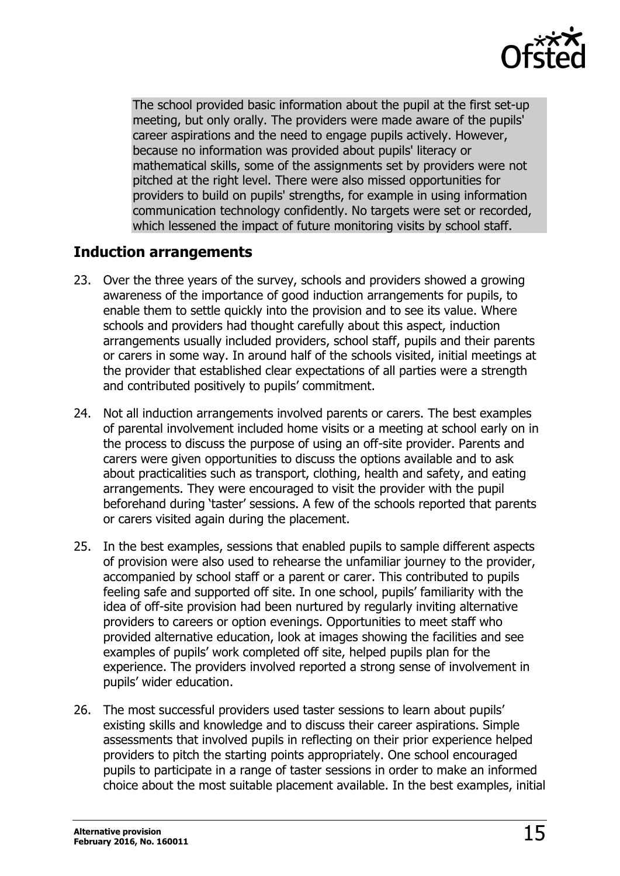

The school provided basic information about the pupil at the first set-up meeting, but only orally. The providers were made aware of the pupils' career aspirations and the need to engage pupils actively. However, because no information was provided about pupils' literacy or mathematical skills, some of the assignments set by providers were not pitched at the right level. There were also missed opportunities for providers to build on pupils' strengths, for example in using information communication technology confidently. No targets were set or recorded, which lessened the impact of future monitoring visits by school staff.

#### <span id="page-14-0"></span>**Induction arrangements**

- 23. Over the three years of the survey, schools and providers showed a growing awareness of the importance of good induction arrangements for pupils, to enable them to settle quickly into the provision and to see its value. Where schools and providers had thought carefully about this aspect, induction arrangements usually included providers, school staff, pupils and their parents or carers in some way. In around half of the schools visited, initial meetings at the provider that established clear expectations of all parties were a strength and contributed positively to pupils' commitment.
- 24. Not all induction arrangements involved parents or carers. The best examples of parental involvement included home visits or a meeting at school early on in the process to discuss the purpose of using an off-site provider. Parents and carers were given opportunities to discuss the options available and to ask about practicalities such as transport, clothing, health and safety, and eating arrangements. They were encouraged to visit the provider with the pupil beforehand during 'taster' sessions. A few of the schools reported that parents or carers visited again during the placement.
- 25. In the best examples, sessions that enabled pupils to sample different aspects of provision were also used to rehearse the unfamiliar journey to the provider, accompanied by school staff or a parent or carer. This contributed to pupils feeling safe and supported off site. In one school, pupils' familiarity with the idea of off-site provision had been nurtured by regularly inviting alternative providers to careers or option evenings. Opportunities to meet staff who provided alternative education, look at images showing the facilities and see examples of pupils' work completed off site, helped pupils plan for the experience. The providers involved reported a strong sense of involvement in pupils' wider education.
- 26. The most successful providers used taster sessions to learn about pupils' existing skills and knowledge and to discuss their career aspirations. Simple assessments that involved pupils in reflecting on their prior experience helped providers to pitch the starting points appropriately. One school encouraged pupils to participate in a range of taster sessions in order to make an informed choice about the most suitable placement available. In the best examples, initial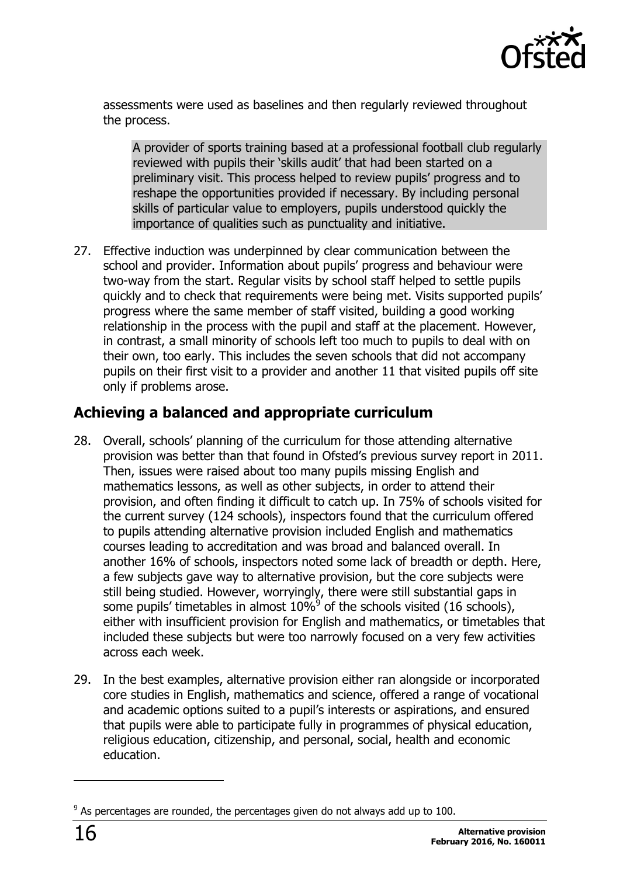

assessments were used as baselines and then regularly reviewed throughout the process.

A provider of sports training based at a professional football club regularly reviewed with pupils their 'skills audit' that had been started on a preliminary visit. This process helped to review pupils' progress and to reshape the opportunities provided if necessary. By including personal skills of particular value to employers, pupils understood quickly the importance of qualities such as punctuality and initiative.

27. Effective induction was underpinned by clear communication between the school and provider. Information about pupils' progress and behaviour were two-way from the start. Regular visits by school staff helped to settle pupils quickly and to check that requirements were being met. Visits supported pupils' progress where the same member of staff visited, building a good working relationship in the process with the pupil and staff at the placement. However, in contrast, a small minority of schools left too much to pupils to deal with on their own, too early. This includes the seven schools that did not accompany pupils on their first visit to a provider and another 11 that visited pupils off site only if problems arose.

#### <span id="page-15-0"></span>**Achieving a balanced and appropriate curriculum**

- 28. Overall, schools' planning of the curriculum for those attending alternative provision was better than that found in Ofsted's previous survey report in 2011. Then, issues were raised about too many pupils missing English and mathematics lessons, as well as other subjects, in order to attend their provision, and often finding it difficult to catch up. In 75% of schools visited for the current survey (124 schools), inspectors found that the curriculum offered to pupils attending alternative provision included English and mathematics courses leading to accreditation and was broad and balanced overall. In another 16% of schools, inspectors noted some lack of breadth or depth. Here, a few subjects gave way to alternative provision, but the core subjects were still being studied. However, worryingly, there were still substantial gaps in some pupils' timetables in almost  $10\%$ <sup>9</sup> of the schools visited (16 schools), either with insufficient provision for English and mathematics, or timetables that included these subjects but were too narrowly focused on a very few activities across each week.
- 29. In the best examples, alternative provision either ran alongside or incorporated core studies in English, mathematics and science, offered a range of vocational and academic options suited to a pupil's interests or aspirations, and ensured that pupils were able to participate fully in programmes of physical education, religious education, citizenship, and personal, social, health and economic education.

j

 $9$  As percentages are rounded, the percentages given do not always add up to 100.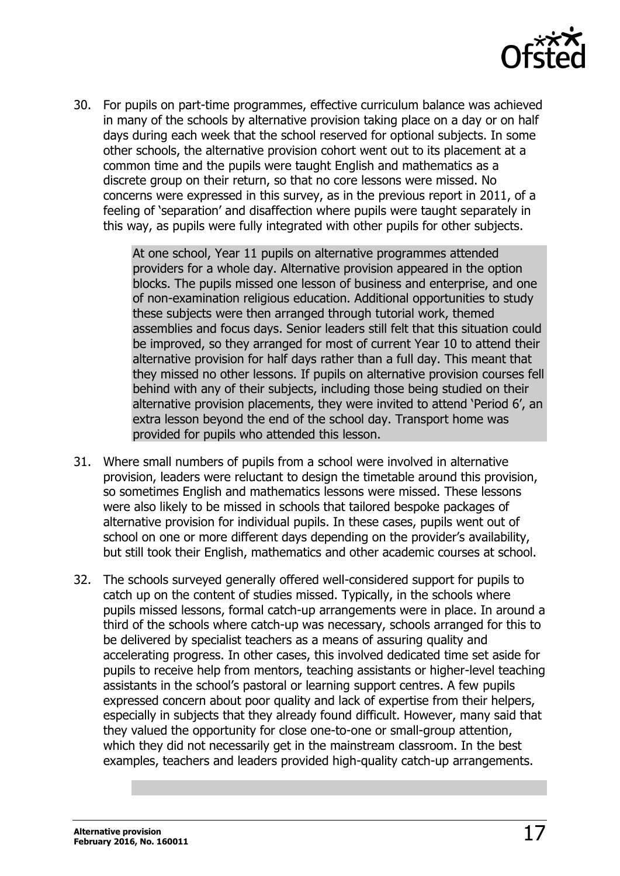

30. For pupils on part-time programmes, effective curriculum balance was achieved in many of the schools by alternative provision taking place on a day or on half days during each week that the school reserved for optional subjects. In some other schools, the alternative provision cohort went out to its placement at a common time and the pupils were taught English and mathematics as a discrete group on their return, so that no core lessons were missed. No concerns were expressed in this survey, as in the previous report in 2011, of a feeling of 'separation' and disaffection where pupils were taught separately in this way, as pupils were fully integrated with other pupils for other subjects.

> At one school, Year 11 pupils on alternative programmes attended providers for a whole day. Alternative provision appeared in the option blocks. The pupils missed one lesson of business and enterprise, and one of non-examination religious education. Additional opportunities to study these subjects were then arranged through tutorial work, themed assemblies and focus days. Senior leaders still felt that this situation could be improved, so they arranged for most of current Year 10 to attend their alternative provision for half days rather than a full day. This meant that they missed no other lessons. If pupils on alternative provision courses fell behind with any of their subjects, including those being studied on their alternative provision placements, they were invited to attend 'Period 6', an extra lesson beyond the end of the school day. Transport home was provided for pupils who attended this lesson.

- 31. Where small numbers of pupils from a school were involved in alternative provision, leaders were reluctant to design the timetable around this provision, so sometimes English and mathematics lessons were missed. These lessons were also likely to be missed in schools that tailored bespoke packages of alternative provision for individual pupils. In these cases, pupils went out of school on one or more different days depending on the provider's availability, but still took their English, mathematics and other academic courses at school.
- 32. The schools surveyed generally offered well-considered support for pupils to catch up on the content of studies missed. Typically, in the schools where pupils missed lessons, formal catch-up arrangements were in place. In around a third of the schools where catch-up was necessary, schools arranged for this to be delivered by specialist teachers as a means of assuring quality and accelerating progress. In other cases, this involved dedicated time set aside for pupils to receive help from mentors, teaching assistants or higher-level teaching assistants in the school's pastoral or learning support centres. A few pupils expressed concern about poor quality and lack of expertise from their helpers, especially in subjects that they already found difficult. However, many said that they valued the opportunity for close one-to-one or small-group attention, which they did not necessarily get in the mainstream classroom. In the best examples, teachers and leaders provided high-quality catch-up arrangements.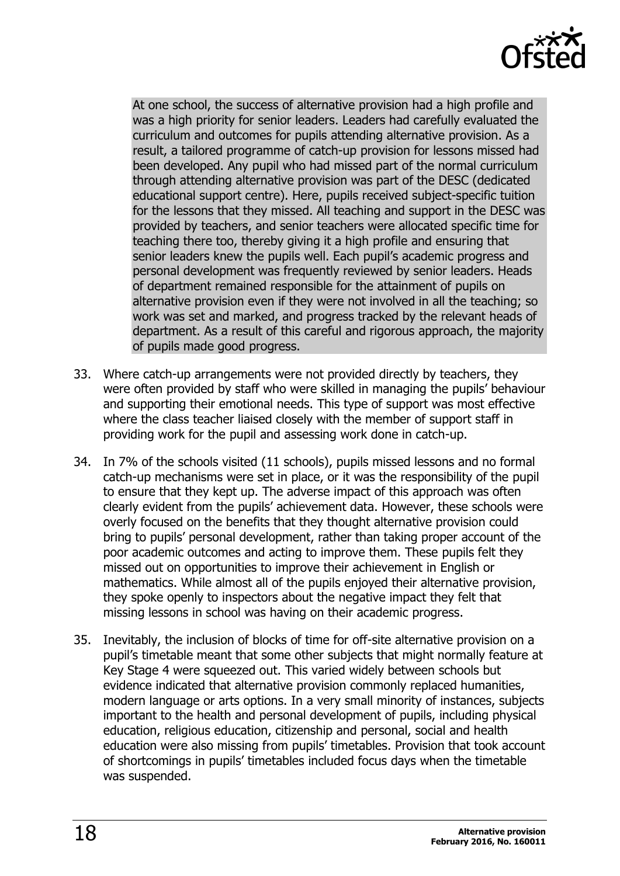

At one school, the success of alternative provision had a high profile and was a high priority for senior leaders. Leaders had carefully evaluated the curriculum and outcomes for pupils attending alternative provision. As a result, a tailored programme of catch-up provision for lessons missed had been developed. Any pupil who had missed part of the normal curriculum through attending alternative provision was part of the DESC (dedicated educational support centre). Here, pupils received subject-specific tuition for the lessons that they missed. All teaching and support in the DESC was provided by teachers, and senior teachers were allocated specific time for teaching there too, thereby giving it a high profile and ensuring that senior leaders knew the pupils well. Each pupil's academic progress and personal development was frequently reviewed by senior leaders. Heads of department remained responsible for the attainment of pupils on alternative provision even if they were not involved in all the teaching; so work was set and marked, and progress tracked by the relevant heads of department. As a result of this careful and rigorous approach, the majority of pupils made good progress.

- 33. Where catch-up arrangements were not provided directly by teachers, they were often provided by staff who were skilled in managing the pupils' behaviour and supporting their emotional needs. This type of support was most effective where the class teacher liaised closely with the member of support staff in providing work for the pupil and assessing work done in catch-up.
- 34. In 7% of the schools visited (11 schools), pupils missed lessons and no formal catch-up mechanisms were set in place, or it was the responsibility of the pupil to ensure that they kept up. The adverse impact of this approach was often clearly evident from the pupils' achievement data. However, these schools were overly focused on the benefits that they thought alternative provision could bring to pupils' personal development, rather than taking proper account of the poor academic outcomes and acting to improve them. These pupils felt they missed out on opportunities to improve their achievement in English or mathematics. While almost all of the pupils enjoyed their alternative provision, they spoke openly to inspectors about the negative impact they felt that missing lessons in school was having on their academic progress.
- 35. Inevitably, the inclusion of blocks of time for off-site alternative provision on a pupil's timetable meant that some other subjects that might normally feature at Key Stage 4 were squeezed out. This varied widely between schools but evidence indicated that alternative provision commonly replaced humanities, modern language or arts options. In a very small minority of instances, subjects important to the health and personal development of pupils, including physical education, religious education, citizenship and personal, social and health education were also missing from pupils' timetables. Provision that took account of shortcomings in pupils' timetables included focus days when the timetable was suspended.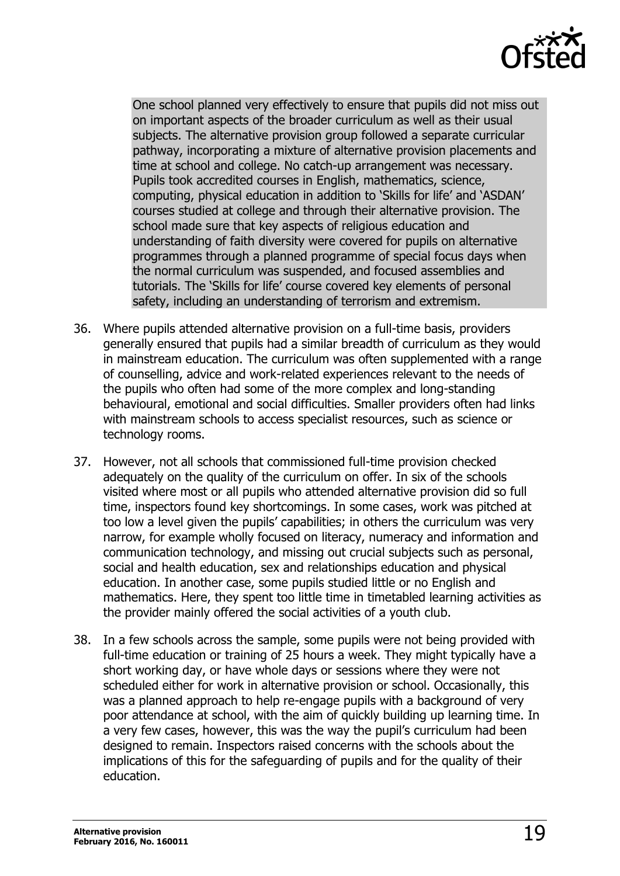

One school planned very effectively to ensure that pupils did not miss out on important aspects of the broader curriculum as well as their usual subjects. The alternative provision group followed a separate curricular pathway, incorporating a mixture of alternative provision placements and time at school and college. No catch-up arrangement was necessary. Pupils took accredited courses in English, mathematics, science, computing, physical education in addition to 'Skills for life' and 'ASDAN' courses studied at college and through their alternative provision. The school made sure that key aspects of religious education and understanding of faith diversity were covered for pupils on alternative programmes through a planned programme of special focus days when the normal curriculum was suspended, and focused assemblies and tutorials. The 'Skills for life' course covered key elements of personal safety, including an understanding of terrorism and extremism.

- 36. Where pupils attended alternative provision on a full-time basis, providers generally ensured that pupils had a similar breadth of curriculum as they would in mainstream education. The curriculum was often supplemented with a range of counselling, advice and work-related experiences relevant to the needs of the pupils who often had some of the more complex and long-standing behavioural, emotional and social difficulties. Smaller providers often had links with mainstream schools to access specialist resources, such as science or technology rooms.
- 37. However, not all schools that commissioned full-time provision checked adequately on the quality of the curriculum on offer. In six of the schools visited where most or all pupils who attended alternative provision did so full time, inspectors found key shortcomings. In some cases, work was pitched at too low a level given the pupils' capabilities; in others the curriculum was very narrow, for example wholly focused on literacy, numeracy and information and communication technology, and missing out crucial subjects such as personal, social and health education, sex and relationships education and physical education. In another case, some pupils studied little or no English and mathematics. Here, they spent too little time in timetabled learning activities as the provider mainly offered the social activities of a youth club.
- 38. In a few schools across the sample, some pupils were not being provided with full-time education or training of 25 hours a week. They might typically have a short working day, or have whole days or sessions where they were not scheduled either for work in alternative provision or school. Occasionally, this was a planned approach to help re-engage pupils with a background of very poor attendance at school, with the aim of quickly building up learning time. In a very few cases, however, this was the way the pupil's curriculum had been designed to remain. Inspectors raised concerns with the schools about the implications of this for the safeguarding of pupils and for the quality of their education.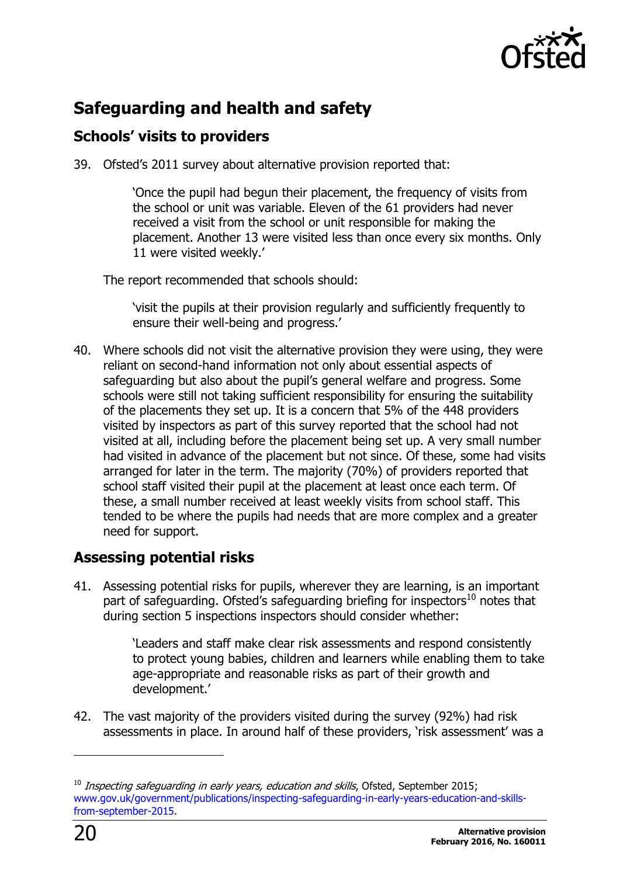

# <span id="page-19-0"></span>**Safeguarding and health and safety**

#### <span id="page-19-1"></span>**Schools' visits to providers**

39. Ofsted's 2011 survey about alternative provision reported that:

'Once the pupil had begun their placement, the frequency of visits from the school or unit was variable. Eleven of the 61 providers had never received a visit from the school or unit responsible for making the placement. Another 13 were visited less than once every six months. Only 11 were visited weekly.'

The report recommended that schools should:

'visit the pupils at their provision regularly and sufficiently frequently to ensure their well-being and progress.'

40. Where schools did not visit the alternative provision they were using, they were reliant on second-hand information not only about essential aspects of safeguarding but also about the pupil's general welfare and progress. Some schools were still not taking sufficient responsibility for ensuring the suitability of the placements they set up. It is a concern that 5% of the 448 providers visited by inspectors as part of this survey reported that the school had not visited at all, including before the placement being set up. A very small number had visited in advance of the placement but not since. Of these, some had visits arranged for later in the term. The majority (70%) of providers reported that school staff visited their pupil at the placement at least once each term. Of these, a small number received at least weekly visits from school staff. This tended to be where the pupils had needs that are more complex and a greater need for support.

### <span id="page-19-2"></span>**Assessing potential risks**

41. Assessing potential risks for pupils, wherever they are learning, is an important part of safeguarding. Ofsted's safeguarding briefing for inspectors $^{10}$  notes that during section 5 inspections inspectors should consider whether:

> 'Leaders and staff make clear risk assessments and respond consistently to protect young babies, children and learners while enabling them to take age-appropriate and reasonable risks as part of their growth and development.'

42. The vast majority of the providers visited during the survey (92%) had risk assessments in place. In around half of these providers, 'risk assessment' was a

-

 $10$  Inspecting safeguarding in early years, education and skills, Ofsted, September 2015; [www.gov.uk/government/publications/inspecting-safeguarding-in-early-years-education-and-skills](http://www.gov.uk/government/publications/inspecting-safeguarding-in-early-years-education-and-skills-from-september-2015)[from-september-2015.](http://www.gov.uk/government/publications/inspecting-safeguarding-in-early-years-education-and-skills-from-september-2015)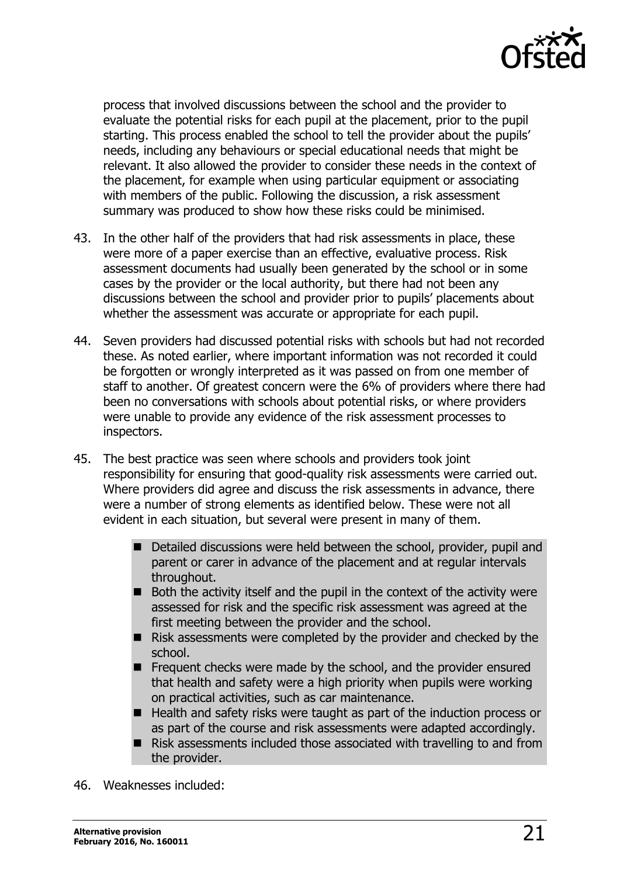

process that involved discussions between the school and the provider to evaluate the potential risks for each pupil at the placement, prior to the pupil starting. This process enabled the school to tell the provider about the pupils' needs, including any behaviours or special educational needs that might be relevant. It also allowed the provider to consider these needs in the context of the placement, for example when using particular equipment or associating with members of the public. Following the discussion, a risk assessment summary was produced to show how these risks could be minimised.

- 43. In the other half of the providers that had risk assessments in place, these were more of a paper exercise than an effective, evaluative process. Risk assessment documents had usually been generated by the school or in some cases by the provider or the local authority, but there had not been any discussions between the school and provider prior to pupils' placements about whether the assessment was accurate or appropriate for each pupil.
- 44. Seven providers had discussed potential risks with schools but had not recorded these. As noted earlier, where important information was not recorded it could be forgotten or wrongly interpreted as it was passed on from one member of staff to another. Of greatest concern were the 6% of providers where there had been no conversations with schools about potential risks, or where providers were unable to provide any evidence of the risk assessment processes to inspectors.
- 45. The best practice was seen where schools and providers took joint responsibility for ensuring that good-quality risk assessments were carried out. Where providers did agree and discuss the risk assessments in advance, there were a number of strong elements as identified below. These were not all evident in each situation, but several were present in many of them.
	- Detailed discussions were held between the school, provider, pupil and parent or carer in advance of the placement and at regular intervals throughout.
	- $\blacksquare$  Both the activity itself and the pupil in the context of the activity were assessed for risk and the specific risk assessment was agreed at the first meeting between the provider and the school.
	- $\blacksquare$  Risk assessments were completed by the provider and checked by the school.
	- Frequent checks were made by the school, and the provider ensured that health and safety were a high priority when pupils were working on practical activities, such as car maintenance.
	- Health and safety risks were taught as part of the induction process or as part of the course and risk assessments were adapted accordingly.
	- Risk assessments included those associated with travelling to and from the provider.
- 46. Weaknesses included: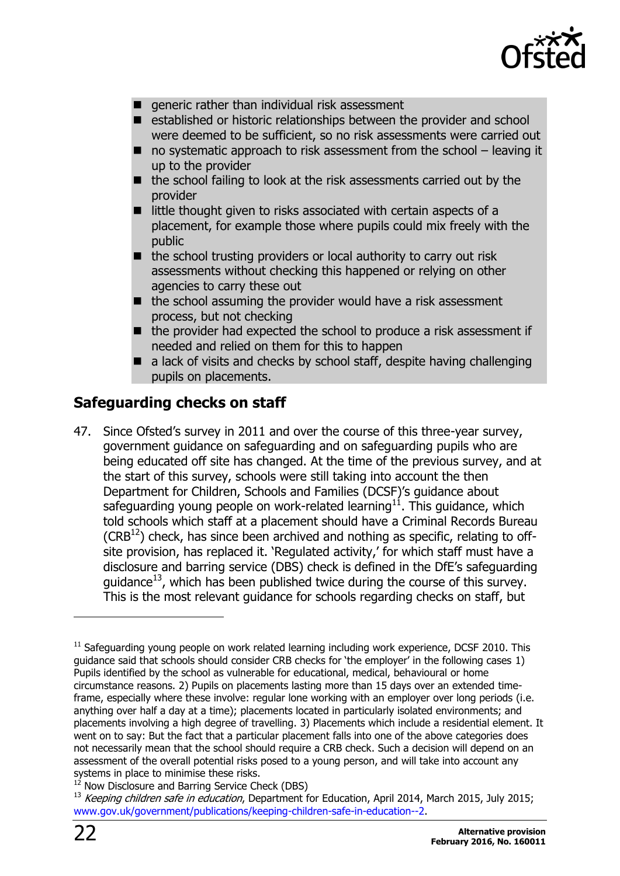

- $\blacksquare$  generic rather than individual risk assessment
- established or historic relationships between the provider and school were deemed to be sufficient, so no risk assessments were carried out
- $\blacksquare$  no systematic approach to risk assessment from the school leaving it up to the provider
- the school failing to look at the risk assessments carried out by the provider
- $\blacksquare$  little thought given to risks associated with certain aspects of a placement, for example those where pupils could mix freely with the public
- $\blacksquare$  the school trusting providers or local authority to carry out risk assessments without checking this happened or relying on other agencies to carry these out
- $\blacksquare$  the school assuming the provider would have a risk assessment process, but not checking
- $\blacksquare$  the provider had expected the school to produce a risk assessment if needed and relied on them for this to happen
- $\blacksquare$  a lack of visits and checks by school staff, despite having challenging pupils on placements.

#### <span id="page-21-0"></span>**Safeguarding checks on staff**

47. Since Ofsted's survey in 2011 and over the course of this three-year survey, government guidance on safeguarding and on safeguarding pupils who are being educated off site has changed. At the time of the previous survey, and at the start of this survey, schools were still taking into account the then Department for Children, Schools and Families (DCSF)'s guidance about safeguarding young people on work-related learning $^{11}$ . This guidance, which told schools which staff at a placement should have a Criminal Records Bureau  $(CRB<sup>12</sup>)$  check, has since been archived and nothing as specific, relating to offsite provision, has replaced it. 'Regulated activity,' for which staff must have a disclosure and barring service (DBS) check is defined in the DfE's safeguarding quidance<sup>13</sup>, which has been published twice during the course of this survey. This is the most relevant guidance for schools regarding checks on staff, but

 $\overline{a}$ 

 $11$  Safeguarding young people on work related learning including work experience, DCSF 2010. This guidance said that schools should consider CRB checks for 'the employer' in the following cases 1) Pupils identified by the school as vulnerable for educational, medical, behavioural or home circumstance reasons. 2) Pupils on placements lasting more than 15 days over an extended timeframe, especially where these involve: regular lone working with an employer over long periods (i.e. anything over half a day at a time); placements located in particularly isolated environments; and placements involving a high degree of travelling. 3) Placements which include a residential element. It went on to say: But the fact that a particular placement falls into one of the above categories does not necessarily mean that the school should require a CRB check. Such a decision will depend on an assessment of the overall potential risks posed to a young person, and will take into account any systems in place to minimise these risks.

Now Disclosure and Barring Service Check (DBS)

<sup>13</sup> Keeping children safe in education, Department for Education, April 2014, March 2015, July 2015; [www.gov.uk/government/publications/keeping-children-safe-in-education--2.](http://www.gov.uk/government/publications/keeping-children-safe-in-education--2)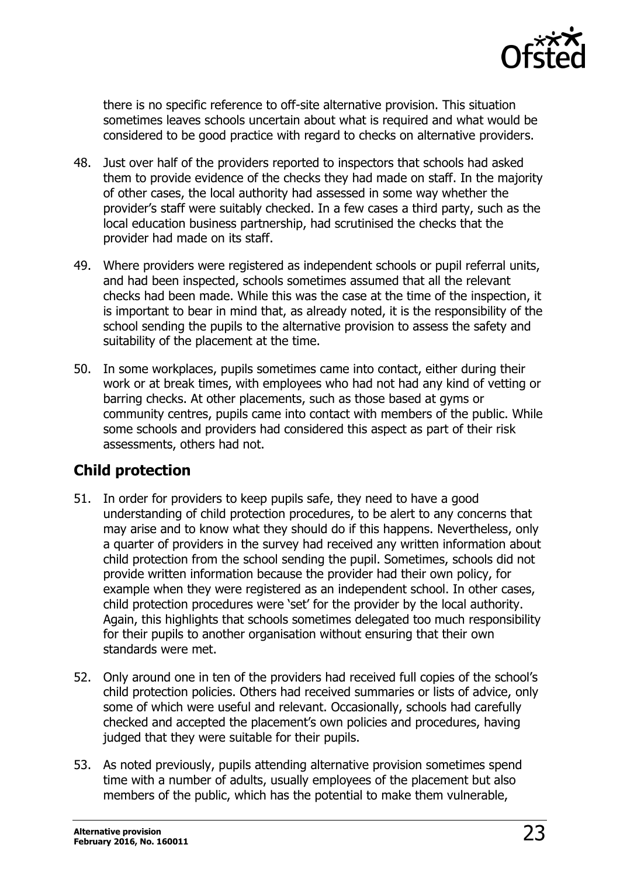

there is no specific reference to off-site alternative provision. This situation sometimes leaves schools uncertain about what is required and what would be considered to be good practice with regard to checks on alternative providers.

- 48. Just over half of the providers reported to inspectors that schools had asked them to provide evidence of the checks they had made on staff. In the majority of other cases, the local authority had assessed in some way whether the provider's staff were suitably checked. In a few cases a third party, such as the local education business partnership, had scrutinised the checks that the provider had made on its staff.
- 49. Where providers were registered as independent schools or pupil referral units, and had been inspected, schools sometimes assumed that all the relevant checks had been made. While this was the case at the time of the inspection, it is important to bear in mind that, as already noted, it is the responsibility of the school sending the pupils to the alternative provision to assess the safety and suitability of the placement at the time.
- 50. In some workplaces, pupils sometimes came into contact, either during their work or at break times, with employees who had not had any kind of vetting or barring checks. At other placements, such as those based at gyms or community centres, pupils came into contact with members of the public. While some schools and providers had considered this aspect as part of their risk assessments, others had not.

### <span id="page-22-0"></span>**Child protection**

- 51. In order for providers to keep pupils safe, they need to have a good understanding of child protection procedures, to be alert to any concerns that may arise and to know what they should do if this happens. Nevertheless, only a quarter of providers in the survey had received any written information about child protection from the school sending the pupil. Sometimes, schools did not provide written information because the provider had their own policy, for example when they were registered as an independent school. In other cases, child protection procedures were 'set' for the provider by the local authority. Again, this highlights that schools sometimes delegated too much responsibility for their pupils to another organisation without ensuring that their own standards were met.
- 52. Only around one in ten of the providers had received full copies of the school's child protection policies. Others had received summaries or lists of advice, only some of which were useful and relevant. Occasionally, schools had carefully checked and accepted the placement's own policies and procedures, having judged that they were suitable for their pupils.
- 53. As noted previously, pupils attending alternative provision sometimes spend time with a number of adults, usually employees of the placement but also members of the public, which has the potential to make them vulnerable,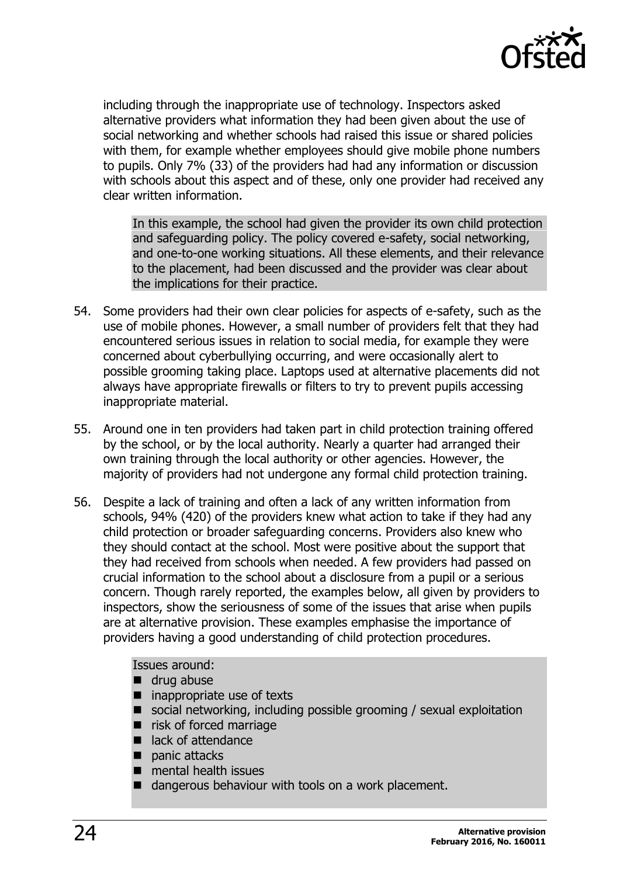

including through the inappropriate use of technology. Inspectors asked alternative providers what information they had been given about the use of social networking and whether schools had raised this issue or shared policies with them, for example whether employees should give mobile phone numbers to pupils. Only 7% (33) of the providers had had any information or discussion with schools about this aspect and of these, only one provider had received any clear written information.

In this example, the school had given the provider its own child protection and safeguarding policy. The policy covered e-safety, social networking, and one-to-one working situations. All these elements, and their relevance to the placement, had been discussed and the provider was clear about the implications for their practice.

- 54. Some providers had their own clear policies for aspects of e-safety, such as the use of mobile phones. However, a small number of providers felt that they had encountered serious issues in relation to social media, for example they were concerned about cyberbullying occurring, and were occasionally alert to possible grooming taking place. Laptops used at alternative placements did not always have appropriate firewalls or filters to try to prevent pupils accessing inappropriate material.
- 55. Around one in ten providers had taken part in child protection training offered by the school, or by the local authority. Nearly a quarter had arranged their own training through the local authority or other agencies. However, the majority of providers had not undergone any formal child protection training.
- 56. Despite a lack of training and often a lack of any written information from schools, 94% (420) of the providers knew what action to take if they had any child protection or broader safeguarding concerns. Providers also knew who they should contact at the school. Most were positive about the support that they had received from schools when needed. A few providers had passed on crucial information to the school about a disclosure from a pupil or a serious concern. Though rarely reported, the examples below, all given by providers to inspectors, show the seriousness of some of the issues that arise when pupils are at alternative provision. These examples emphasise the importance of providers having a good understanding of child protection procedures.

Issues around:

- drug abuse
- inappropriate use of texts
- social networking, including possible grooming / sexual exploitation
- risk of forced marriage
- lack of attendance
- $\blacksquare$  panic attacks
- $\blacksquare$  mental health issues
- dangerous behaviour with tools on a work placement.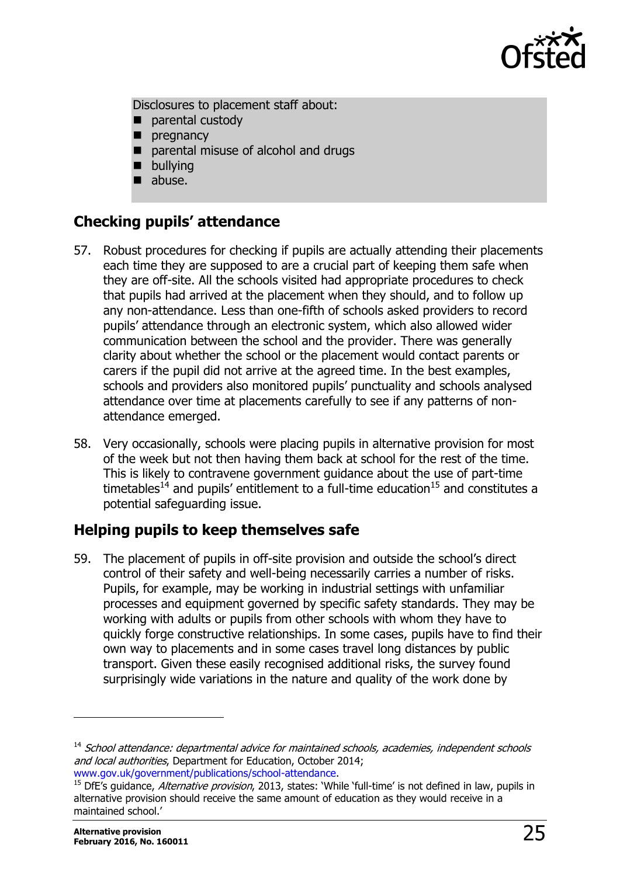

Disclosures to placement staff about:

- parental custody
- $\blacksquare$  pregnancy
- parental misuse of alcohol and drugs
- **bullying**
- abuse.

#### <span id="page-24-0"></span>**Checking pupils' attendance**

- 57. Robust procedures for checking if pupils are actually attending their placements each time they are supposed to are a crucial part of keeping them safe when they are off-site. All the schools visited had appropriate procedures to check that pupils had arrived at the placement when they should, and to follow up any non-attendance. Less than one-fifth of schools asked providers to record pupils' attendance through an electronic system, which also allowed wider communication between the school and the provider. There was generally clarity about whether the school or the placement would contact parents or carers if the pupil did not arrive at the agreed time. In the best examples, schools and providers also monitored pupils' punctuality and schools analysed attendance over time at placements carefully to see if any patterns of nonattendance emerged.
- 58. Very occasionally, schools were placing pupils in alternative provision for most of the week but not then having them back at school for the rest of the time. This is likely to contravene government guidance about the use of part-time timetables<sup>14</sup> and pupils' entitlement to a full-time education<sup>15</sup> and constitutes a potential safeguarding issue.

#### <span id="page-24-1"></span>**Helping pupils to keep themselves safe**

59. The placement of pupils in off-site provision and outside the school's direct control of their safety and well-being necessarily carries a number of risks. Pupils, for example, may be working in industrial settings with unfamiliar processes and equipment governed by specific safety standards. They may be working with adults or pupils from other schools with whom they have to quickly forge constructive relationships. In some cases, pupils have to find their own way to placements and in some cases travel long distances by public transport. Given these easily recognised additional risks, the survey found surprisingly wide variations in the nature and quality of the work done by

j

<sup>&</sup>lt;sup>14</sup> School attendance: departmental advice for maintained schools, academies, independent schools and local authorities, Department for Education, October 2014; [www.gov.uk/government/publications/school-attendance.](http://www.gov.uk/government/publications/school-attendance)

<sup>15</sup> DfE's guidance, Alternative provision, 2013, states: 'While 'full-time' is not defined in law, pupils in alternative provision should receive the same amount of education as they would receive in a maintained school.'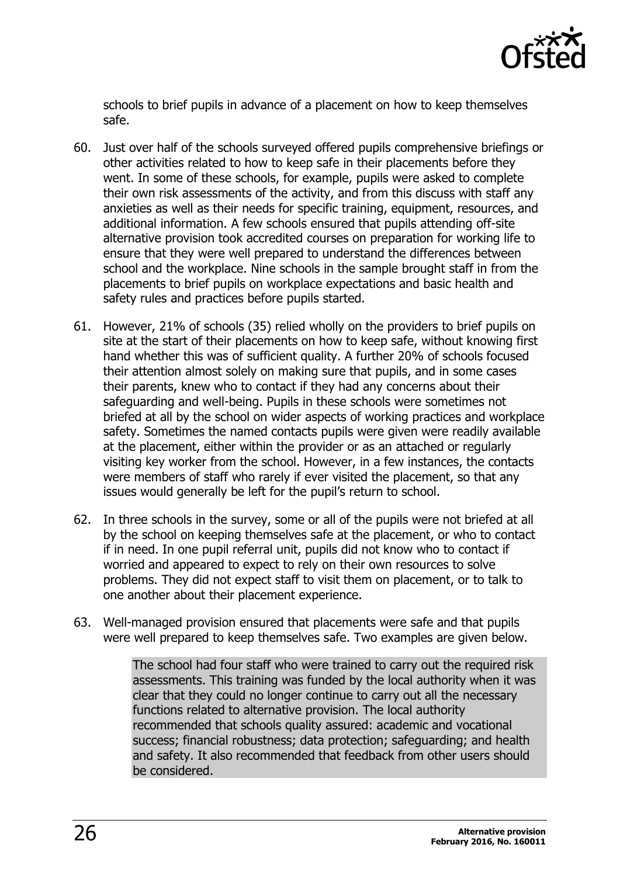

schools to brief pupils in advance of a placement on how to keep themselves safe.

- 60. Just over half of the schools surveyed offered pupils comprehensive briefings or other activities related to how to keep safe in their placements before they went. In some of these schools, for example, pupils were asked to complete their own risk assessments of the activity, and from this discuss with staff any anxieties as well as their needs for specific training, equipment, resources, and additional information. A few schools ensured that pupils attending off-site alternative provision took accredited courses on preparation for working life to ensure that they were well prepared to understand the differences between school and the workplace. Nine schools in the sample brought staff in from the placements to brief pupils on workplace expectations and basic health and safety rules and practices before pupils started.
- 61. However, 21% of schools (35) relied wholly on the providers to brief pupils on site at the start of their placements on how to keep safe, without knowing first hand whether this was of sufficient quality. A further 20% of schools focused their attention almost solely on making sure that pupils, and in some cases their parents, knew who to contact if they had any concerns about their safeguarding and well-being. Pupils in these schools were sometimes not briefed at all by the school on wider aspects of working practices and workplace safety. Sometimes the named contacts pupils were given were readily available at the placement, either within the provider or as an attached or regularly visiting key worker from the school. However, in a few instances, the contacts were members of staff who rarely if ever visited the placement, so that any issues would generally be left for the pupil's return to school.
- 62. In three schools in the survey, some or all of the pupils were not briefed at all by the school on keeping themselves safe at the placement, or who to contact if in need. In one pupil referral unit, pupils did not know who to contact if worried and appeared to expect to rely on their own resources to solve problems. They did not expect staff to visit them on placement, or to talk to one another about their placement experience.
- 63. Well-managed provision ensured that placements were safe and that pupils were well prepared to keep themselves safe. Two examples are given below.

The school had four staff who were trained to carry out the required risk assessments. This training was funded by the local authority when it was clear that they could no longer continue to carry out all the necessary functions related to alternative provision. The local authority recommended that schools quality assured: academic and vocational success; financial robustness; data protection; safeguarding; and health and safety. It also recommended that feedback from other users should be considered.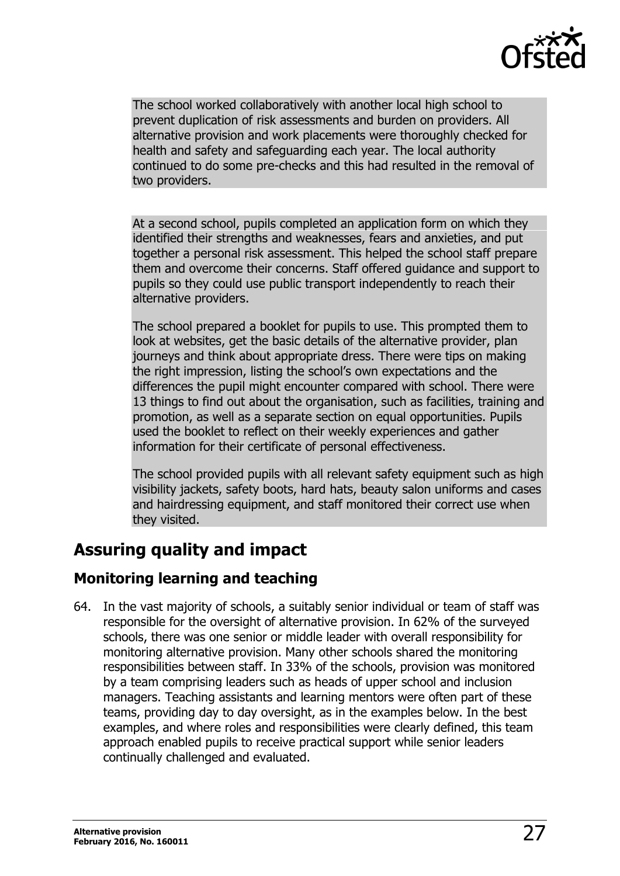

The school worked collaboratively with another local high school to prevent duplication of risk assessments and burden on providers. All alternative provision and work placements were thoroughly checked for health and safety and safeguarding each year. The local authority continued to do some pre-checks and this had resulted in the removal of two providers.

At a second school, pupils completed an application form on which they identified their strengths and weaknesses, fears and anxieties, and put together a personal risk assessment. This helped the school staff prepare them and overcome their concerns. Staff offered guidance and support to pupils so they could use public transport independently to reach their alternative providers.

The school prepared a booklet for pupils to use. This prompted them to look at websites, get the basic details of the alternative provider, plan journeys and think about appropriate dress. There were tips on making the right impression, listing the school's own expectations and the differences the pupil might encounter compared with school. There were 13 things to find out about the organisation, such as facilities, training and promotion, as well as a separate section on equal opportunities. Pupils used the booklet to reflect on their weekly experiences and gather information for their certificate of personal effectiveness.

The school provided pupils with all relevant safety equipment such as high visibility jackets, safety boots, hard hats, beauty salon uniforms and cases and hairdressing equipment, and staff monitored their correct use when they visited.

# <span id="page-26-0"></span>**Assuring quality and impact**

#### <span id="page-26-1"></span>**Monitoring learning and teaching**

64. In the vast majority of schools, a suitably senior individual or team of staff was responsible for the oversight of alternative provision. In 62% of the surveyed schools, there was one senior or middle leader with overall responsibility for monitoring alternative provision. Many other schools shared the monitoring responsibilities between staff. In 33% of the schools, provision was monitored by a team comprising leaders such as heads of upper school and inclusion managers. Teaching assistants and learning mentors were often part of these teams, providing day to day oversight, as in the examples below. In the best examples, and where roles and responsibilities were clearly defined, this team approach enabled pupils to receive practical support while senior leaders continually challenged and evaluated.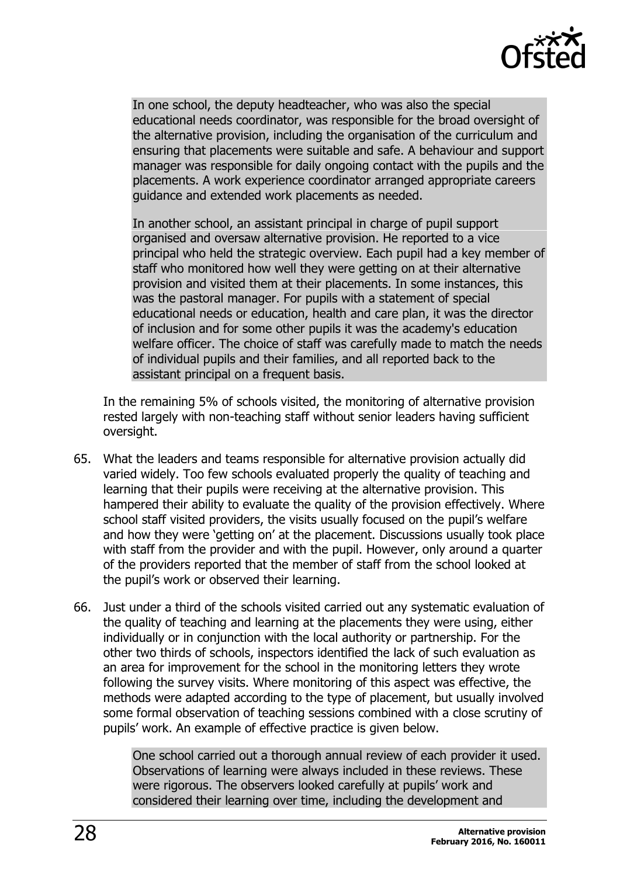

In one school, the deputy headteacher, who was also the special educational needs coordinator, was responsible for the broad oversight of the alternative provision, including the organisation of the curriculum and ensuring that placements were suitable and safe. A behaviour and support manager was responsible for daily ongoing contact with the pupils and the placements. A work experience coordinator arranged appropriate careers guidance and extended work placements as needed.

In another school, an assistant principal in charge of pupil support organised and oversaw alternative provision. He reported to a vice principal who held the strategic overview. Each pupil had a key member of staff who monitored how well they were getting on at their alternative provision and visited them at their placements. In some instances, this was the pastoral manager. For pupils with a statement of special educational needs or education, health and care plan, it was the director of inclusion and for some other pupils it was the academy's education welfare officer. The choice of staff was carefully made to match the needs of individual pupils and their families, and all reported back to the assistant principal on a frequent basis.

In the remaining 5% of schools visited, the monitoring of alternative provision rested largely with non-teaching staff without senior leaders having sufficient oversight.

- 65. What the leaders and teams responsible for alternative provision actually did varied widely. Too few schools evaluated properly the quality of teaching and learning that their pupils were receiving at the alternative provision. This hampered their ability to evaluate the quality of the provision effectively. Where school staff visited providers, the visits usually focused on the pupil's welfare and how they were 'getting on' at the placement. Discussions usually took place with staff from the provider and with the pupil. However, only around a quarter of the providers reported that the member of staff from the school looked at the pupil's work or observed their learning.
- 66. Just under a third of the schools visited carried out any systematic evaluation of the quality of teaching and learning at the placements they were using, either individually or in conjunction with the local authority or partnership. For the other two thirds of schools, inspectors identified the lack of such evaluation as an area for improvement for the school in the monitoring letters they wrote following the survey visits. Where monitoring of this aspect was effective, the methods were adapted according to the type of placement, but usually involved some formal observation of teaching sessions combined with a close scrutiny of pupils' work. An example of effective practice is given below.

One school carried out a thorough annual review of each provider it used. Observations of learning were always included in these reviews. These were rigorous. The observers looked carefully at pupils' work and considered their learning over time, including the development and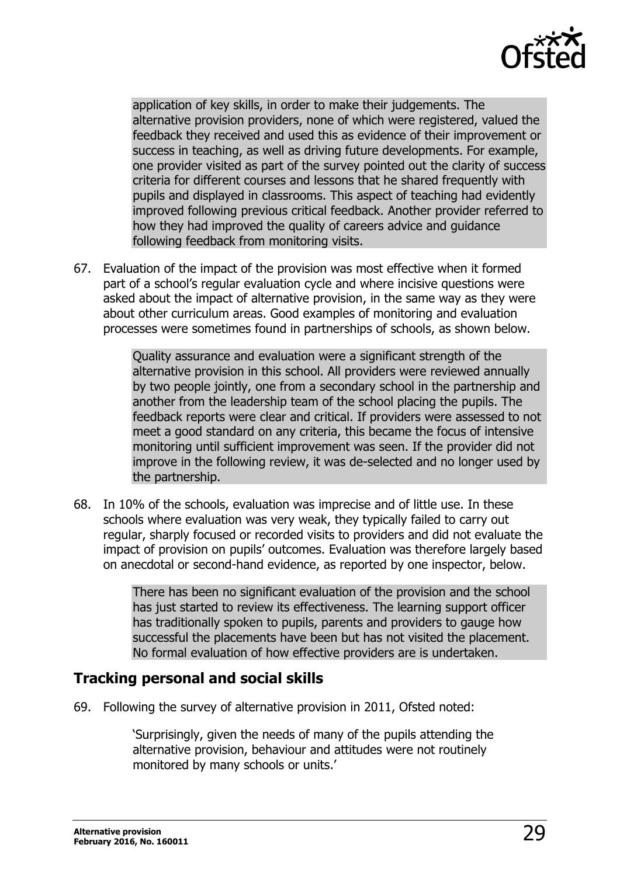

application of key skills, in order to make their judgements. The alternative provision providers, none of which were registered, valued the feedback they received and used this as evidence of their improvement or success in teaching, as well as driving future developments. For example, one provider visited as part of the survey pointed out the clarity of success criteria for different courses and lessons that he shared frequently with pupils and displayed in classrooms. This aspect of teaching had evidently improved following previous critical feedback. Another provider referred to how they had improved the quality of careers advice and guidance following feedback from monitoring visits.

67. Evaluation of the impact of the provision was most effective when it formed part of a school's regular evaluation cycle and where incisive questions were asked about the impact of alternative provision, in the same way as they were about other curriculum areas. Good examples of monitoring and evaluation processes were sometimes found in partnerships of schools, as shown below.

> Quality assurance and evaluation were a significant strength of the alternative provision in this school. All providers were reviewed annually by two people jointly, one from a secondary school in the partnership and another from the leadership team of the school placing the pupils. The feedback reports were clear and critical. If providers were assessed to not meet a good standard on any criteria, this became the focus of intensive monitoring until sufficient improvement was seen. If the provider did not improve in the following review, it was de-selected and no longer used by the partnership.

68. In 10% of the schools, evaluation was imprecise and of little use. In these schools where evaluation was very weak, they typically failed to carry out regular, sharply focused or recorded visits to providers and did not evaluate the impact of provision on pupils' outcomes. Evaluation was therefore largely based on anecdotal or second-hand evidence, as reported by one inspector, below.

> There has been no significant evaluation of the provision and the school has just started to review its effectiveness. The learning support officer has traditionally spoken to pupils, parents and providers to gauge how successful the placements have been but has not visited the placement. No formal evaluation of how effective providers are is undertaken.

#### <span id="page-28-0"></span>**Tracking personal and social skills**

69. Following the survey of alternative provision in 2011, Ofsted noted:

'Surprisingly, given the needs of many of the pupils attending the alternative provision, behaviour and attitudes were not routinely monitored by many schools or units.'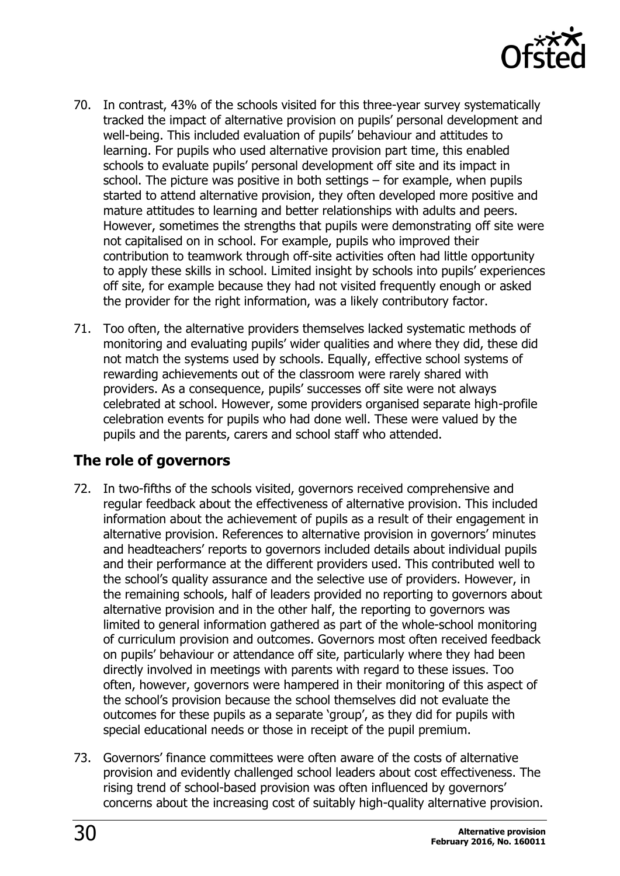

- 70. In contrast, 43% of the schools visited for this three-year survey systematically tracked the impact of alternative provision on pupils' personal development and well-being. This included evaluation of pupils' behaviour and attitudes to learning. For pupils who used alternative provision part time, this enabled schools to evaluate pupils' personal development off site and its impact in school. The picture was positive in both settings – for example, when pupils started to attend alternative provision, they often developed more positive and mature attitudes to learning and better relationships with adults and peers. However, sometimes the strengths that pupils were demonstrating off site were not capitalised on in school. For example, pupils who improved their contribution to teamwork through off-site activities often had little opportunity to apply these skills in school. Limited insight by schools into pupils' experiences off site, for example because they had not visited frequently enough or asked the provider for the right information, was a likely contributory factor.
- 71. Too often, the alternative providers themselves lacked systematic methods of monitoring and evaluating pupils' wider qualities and where they did, these did not match the systems used by schools. Equally, effective school systems of rewarding achievements out of the classroom were rarely shared with providers. As a consequence, pupils' successes off site were not always celebrated at school. However, some providers organised separate high-profile celebration events for pupils who had done well. These were valued by the pupils and the parents, carers and school staff who attended.

#### <span id="page-29-0"></span>**The role of governors**

- 72. In two-fifths of the schools visited, governors received comprehensive and regular feedback about the effectiveness of alternative provision. This included information about the achievement of pupils as a result of their engagement in alternative provision. References to alternative provision in governors' minutes and headteachers' reports to governors included details about individual pupils and their performance at the different providers used. This contributed well to the school's quality assurance and the selective use of providers. However, in the remaining schools, half of leaders provided no reporting to governors about alternative provision and in the other half, the reporting to governors was limited to general information gathered as part of the whole-school monitoring of curriculum provision and outcomes. Governors most often received feedback on pupils' behaviour or attendance off site, particularly where they had been directly involved in meetings with parents with regard to these issues. Too often, however, governors were hampered in their monitoring of this aspect of the school's provision because the school themselves did not evaluate the outcomes for these pupils as a separate 'group', as they did for pupils with special educational needs or those in receipt of the pupil premium.
- 73. Governors' finance committees were often aware of the costs of alternative provision and evidently challenged school leaders about cost effectiveness. The rising trend of school-based provision was often influenced by governors' concerns about the increasing cost of suitably high-quality alternative provision.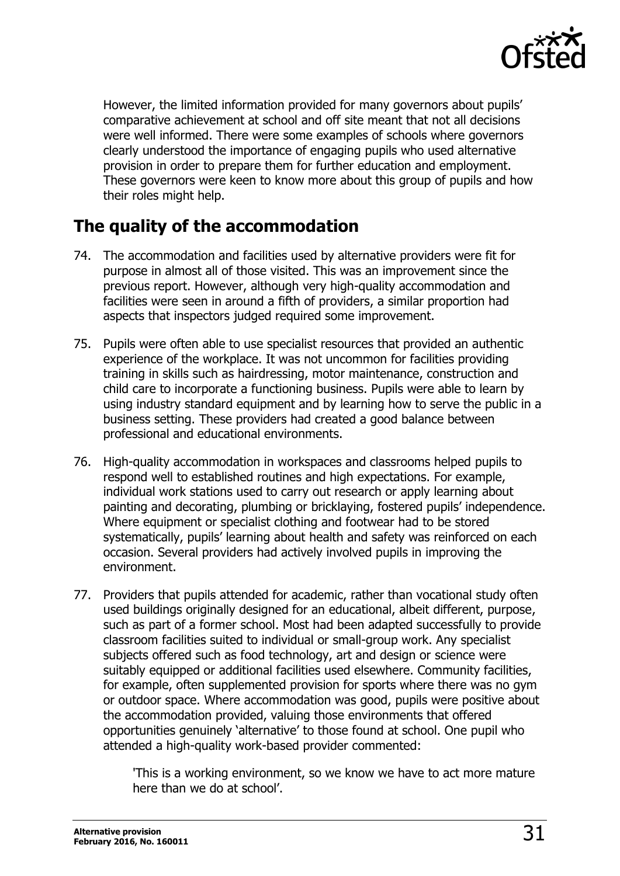

However, the limited information provided for many governors about pupils' comparative achievement at school and off site meant that not all decisions were well informed. There were some examples of schools where governors clearly understood the importance of engaging pupils who used alternative provision in order to prepare them for further education and employment. These governors were keen to know more about this group of pupils and how their roles might help.

### <span id="page-30-0"></span>**The quality of the accommodation**

- 74. The accommodation and facilities used by alternative providers were fit for purpose in almost all of those visited. This was an improvement since the previous report. However, although very high-quality accommodation and facilities were seen in around a fifth of providers, a similar proportion had aspects that inspectors judged required some improvement.
- 75. Pupils were often able to use specialist resources that provided an authentic experience of the workplace. It was not uncommon for facilities providing training in skills such as hairdressing, motor maintenance, construction and child care to incorporate a functioning business. Pupils were able to learn by using industry standard equipment and by learning how to serve the public in a business setting. These providers had created a good balance between professional and educational environments.
- 76. High-quality accommodation in workspaces and classrooms helped pupils to respond well to established routines and high expectations. For example, individual work stations used to carry out research or apply learning about painting and decorating, plumbing or bricklaying, fostered pupils' independence. Where equipment or specialist clothing and footwear had to be stored systematically, pupils' learning about health and safety was reinforced on each occasion. Several providers had actively involved pupils in improving the environment.
- 77. Providers that pupils attended for academic, rather than vocational study often used buildings originally designed for an educational, albeit different, purpose, such as part of a former school. Most had been adapted successfully to provide classroom facilities suited to individual or small-group work. Any specialist subjects offered such as food technology, art and design or science were suitably equipped or additional facilities used elsewhere. Community facilities, for example, often supplemented provision for sports where there was no gym or outdoor space. Where accommodation was good, pupils were positive about the accommodation provided, valuing those environments that offered opportunities genuinely 'alternative' to those found at school. One pupil who attended a high-quality work-based provider commented:

'This is a working environment, so we know we have to act more mature here than we do at school'.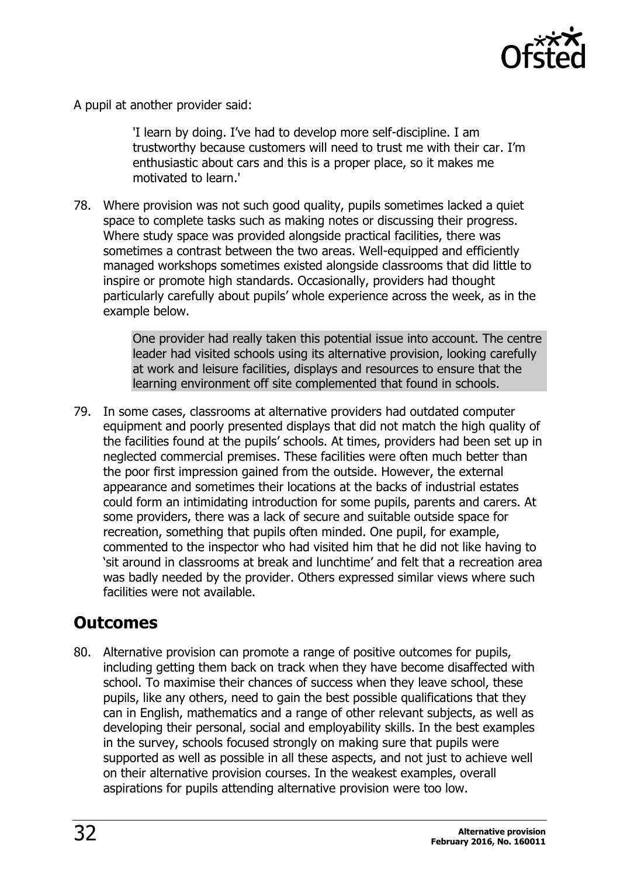

A pupil at another provider said:

'I learn by doing. I've had to develop more self-discipline. I am trustworthy because customers will need to trust me with their car. I'm enthusiastic about cars and this is a proper place, so it makes me motivated to learn.'

78. Where provision was not such good quality, pupils sometimes lacked a quiet space to complete tasks such as making notes or discussing their progress. Where study space was provided alongside practical facilities, there was sometimes a contrast between the two areas. Well-equipped and efficiently managed workshops sometimes existed alongside classrooms that did little to inspire or promote high standards. Occasionally, providers had thought particularly carefully about pupils' whole experience across the week, as in the example below.

> One provider had really taken this potential issue into account. The centre leader had visited schools using its alternative provision, looking carefully at work and leisure facilities, displays and resources to ensure that the learning environment off site complemented that found in schools.

79. In some cases, classrooms at alternative providers had outdated computer equipment and poorly presented displays that did not match the high quality of the facilities found at the pupils' schools. At times, providers had been set up in neglected commercial premises. These facilities were often much better than the poor first impression gained from the outside. However, the external appearance and sometimes their locations at the backs of industrial estates could form an intimidating introduction for some pupils, parents and carers. At some providers, there was a lack of secure and suitable outside space for recreation, something that pupils often minded. One pupil, for example, commented to the inspector who had visited him that he did not like having to 'sit around in classrooms at break and lunchtime' and felt that a recreation area was badly needed by the provider. Others expressed similar views where such facilities were not available.

### <span id="page-31-0"></span>**Outcomes**

80. Alternative provision can promote a range of positive outcomes for pupils, including getting them back on track when they have become disaffected with school. To maximise their chances of success when they leave school, these pupils, like any others, need to gain the best possible qualifications that they can in English, mathematics and a range of other relevant subjects, as well as developing their personal, social and employability skills. In the best examples in the survey, schools focused strongly on making sure that pupils were supported as well as possible in all these aspects, and not just to achieve well on their alternative provision courses. In the weakest examples, overall aspirations for pupils attending alternative provision were too low.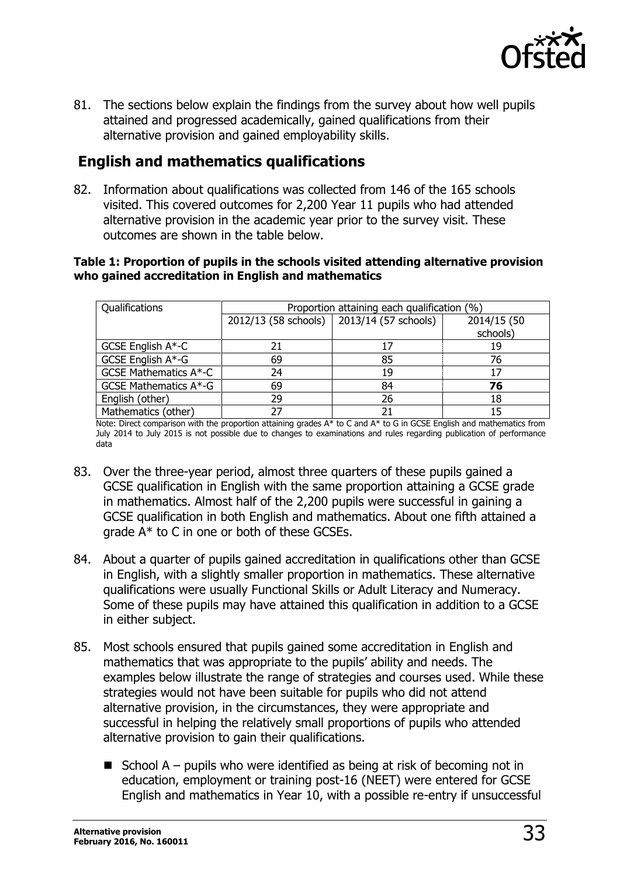

81. The sections below explain the findings from the survey about how well pupils attained and progressed academically, gained qualifications from their alternative provision and gained employability skills.

#### <span id="page-32-0"></span>**English and mathematics qualifications**

82. Information about qualifications was collected from 146 of the 165 schools visited. This covered outcomes for 2,200 Year 11 pupils who had attended alternative provision in the academic year prior to the survey visit. These outcomes are shown in the table below.

#### **Table 1: Proportion of pupils in the schools visited attending alternative provision who gained accreditation in English and mathematics**

| Qualifications               | Proportion attaining each qualification (%) |                                             |             |  |
|------------------------------|---------------------------------------------|---------------------------------------------|-------------|--|
|                              |                                             | 2012/13 (58 schools)   2013/14 (57 schools) | 2014/15 (50 |  |
|                              |                                             |                                             | schools)    |  |
| GCSE English A*-C            |                                             | 17                                          | 19          |  |
| GCSE English A*-G            | 69                                          | 85                                          | 76          |  |
| <b>GCSE Mathematics A*-C</b> | 24                                          | 19                                          | 17          |  |
| GCSE Mathematics A*-G        | 69                                          | 84                                          | 76          |  |
| English (other)              | 29                                          | 26                                          | 18          |  |
| Mathematics (other)          | 27                                          | 21                                          | 15          |  |

Note: Direct comparison with the proportion attaining grades A\* to C and A\* to G in GCSE English and mathematics from July 2014 to July 2015 is not possible due to changes to examinations and rules regarding publication of performance data

- 83. Over the three-year period, almost three quarters of these pupils gained a GCSE qualification in English with the same proportion attaining a GCSE grade in mathematics. Almost half of the 2,200 pupils were successful in gaining a GCSE qualification in both English and mathematics. About one fifth attained a grade A\* to C in one or both of these GCSEs.
- 84. About a quarter of pupils gained accreditation in qualifications other than GCSE in English, with a slightly smaller proportion in mathematics. These alternative qualifications were usually Functional Skills or Adult Literacy and Numeracy. Some of these pupils may have attained this qualification in addition to a GCSE in either subject.
- 85. Most schools ensured that pupils gained some accreditation in English and mathematics that was appropriate to the pupils' ability and needs. The examples below illustrate the range of strategies and courses used. While these strategies would not have been suitable for pupils who did not attend alternative provision, in the circumstances, they were appropriate and successful in helping the relatively small proportions of pupils who attended alternative provision to gain their qualifications.
	- School  $A -$  pupils who were identified as being at risk of becoming not in education, employment or training post-16 (NEET) were entered for GCSE English and mathematics in Year 10, with a possible re-entry if unsuccessful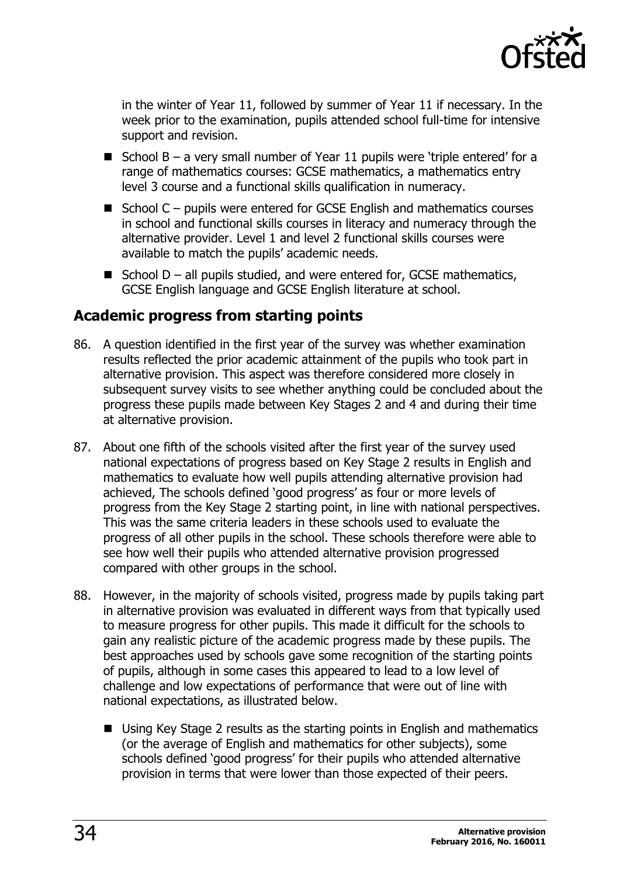

in the winter of Year 11, followed by summer of Year 11 if necessary. In the week prior to the examination, pupils attended school full-time for intensive support and revision.

- School  $B a$  very small number of Year 11 pupils were 'triple entered' for a range of mathematics courses: GCSE mathematics, a mathematics entry level 3 course and a functional skills qualification in numeracy.
- $\blacksquare$  School C pupils were entered for GCSE English and mathematics courses in school and functional skills courses in literacy and numeracy through the alternative provider. Level 1 and level 2 functional skills courses were available to match the pupils' academic needs.
- School  $D -$ all pupils studied, and were entered for, GCSE mathematics, GCSE English language and GCSE English literature at school.

#### <span id="page-33-0"></span>**Academic progress from starting points**

- 86. A question identified in the first year of the survey was whether examination results reflected the prior academic attainment of the pupils who took part in alternative provision. This aspect was therefore considered more closely in subsequent survey visits to see whether anything could be concluded about the progress these pupils made between Key Stages 2 and 4 and during their time at alternative provision.
- 87. About one fifth of the schools visited after the first year of the survey used national expectations of progress based on Key Stage 2 results in English and mathematics to evaluate how well pupils attending alternative provision had achieved, The schools defined 'good progress' as four or more levels of progress from the Key Stage 2 starting point, in line with national perspectives. This was the same criteria leaders in these schools used to evaluate the progress of all other pupils in the school. These schools therefore were able to see how well their pupils who attended alternative provision progressed compared with other groups in the school.
- 88. However, in the majority of schools visited, progress made by pupils taking part in alternative provision was evaluated in different ways from that typically used to measure progress for other pupils. This made it difficult for the schools to gain any realistic picture of the academic progress made by these pupils. The best approaches used by schools gave some recognition of the starting points of pupils, although in some cases this appeared to lead to a low level of challenge and low expectations of performance that were out of line with national expectations, as illustrated below.
	- Using Key Stage 2 results as the starting points in English and mathematics (or the average of English and mathematics for other subjects), some schools defined 'good progress' for their pupils who attended alternative provision in terms that were lower than those expected of their peers.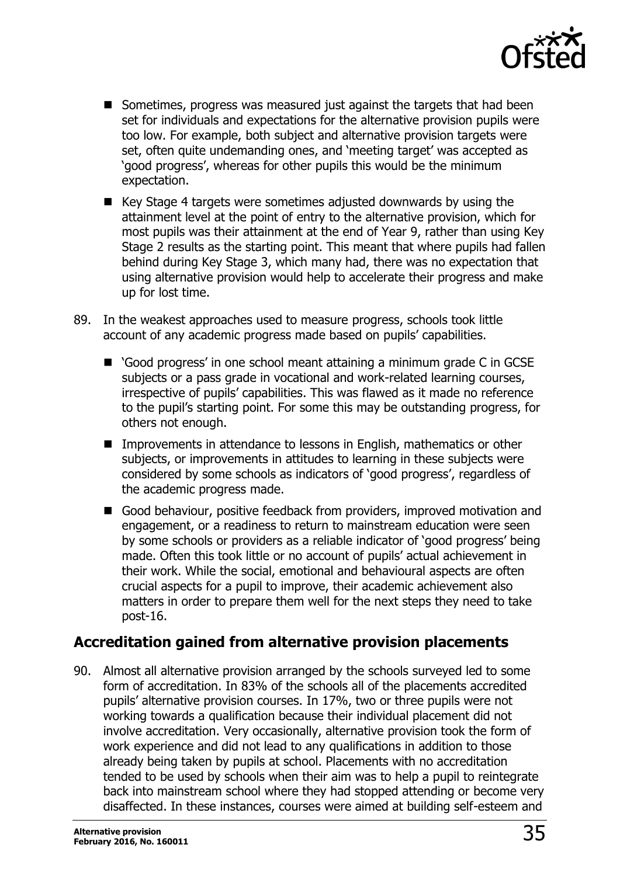

- Sometimes, progress was measured just against the targets that had been set for individuals and expectations for the alternative provision pupils were too low. For example, both subject and alternative provision targets were set, often quite undemanding ones, and 'meeting target' was accepted as 'good progress', whereas for other pupils this would be the minimum expectation.
- $\blacksquare$  Key Stage 4 targets were sometimes adjusted downwards by using the attainment level at the point of entry to the alternative provision, which for most pupils was their attainment at the end of Year 9, rather than using Key Stage 2 results as the starting point. This meant that where pupils had fallen behind during Key Stage 3, which many had, there was no expectation that using alternative provision would help to accelerate their progress and make up for lost time.
- 89. In the weakest approaches used to measure progress, schools took little account of any academic progress made based on pupils' capabilities.
	- 'Good progress' in one school meant attaining a minimum grade C in GCSE subjects or a pass grade in vocational and work-related learning courses, irrespective of pupils' capabilities. This was flawed as it made no reference to the pupil's starting point. For some this may be outstanding progress, for others not enough.
	- Improvements in attendance to lessons in English, mathematics or other subjects, or improvements in attitudes to learning in these subjects were considered by some schools as indicators of 'good progress', regardless of the academic progress made.
	- Good behaviour, positive feedback from providers, improved motivation and engagement, or a readiness to return to mainstream education were seen by some schools or providers as a reliable indicator of 'good progress' being made. Often this took little or no account of pupils' actual achievement in their work. While the social, emotional and behavioural aspects are often crucial aspects for a pupil to improve, their academic achievement also matters in order to prepare them well for the next steps they need to take post-16.

#### <span id="page-34-0"></span>**Accreditation gained from alternative provision placements**

90. Almost all alternative provision arranged by the schools surveyed led to some form of accreditation. In 83% of the schools all of the placements accredited pupils' alternative provision courses. In 17%, two or three pupils were not working towards a qualification because their individual placement did not involve accreditation. Very occasionally, alternative provision took the form of work experience and did not lead to any qualifications in addition to those already being taken by pupils at school. Placements with no accreditation tended to be used by schools when their aim was to help a pupil to reintegrate back into mainstream school where they had stopped attending or become very disaffected. In these instances, courses were aimed at building self-esteem and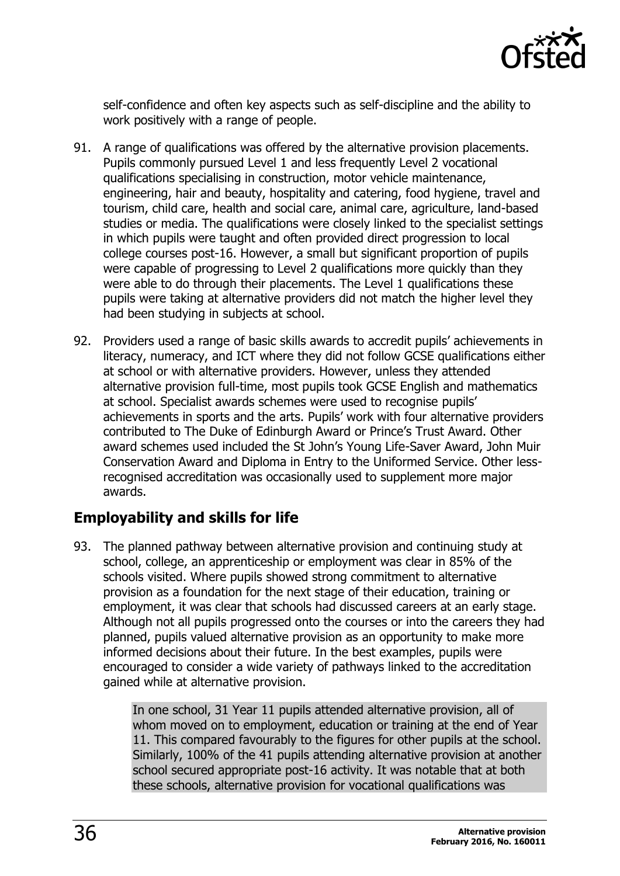

self-confidence and often key aspects such as self-discipline and the ability to work positively with a range of people.

- 91. A range of qualifications was offered by the alternative provision placements. Pupils commonly pursued Level 1 and less frequently Level 2 vocational qualifications specialising in construction, motor vehicle maintenance, engineering, hair and beauty, hospitality and catering, food hygiene, travel and tourism, child care, health and social care, animal care, agriculture, land-based studies or media. The qualifications were closely linked to the specialist settings in which pupils were taught and often provided direct progression to local college courses post-16. However, a small but significant proportion of pupils were capable of progressing to Level 2 qualifications more quickly than they were able to do through their placements. The Level 1 qualifications these pupils were taking at alternative providers did not match the higher level they had been studying in subjects at school.
- 92. Providers used a range of basic skills awards to accredit pupils' achievements in literacy, numeracy, and ICT where they did not follow GCSE qualifications either at school or with alternative providers. However, unless they attended alternative provision full-time, most pupils took GCSE English and mathematics at school. Specialist awards schemes were used to recognise pupils' achievements in sports and the arts. Pupils' work with four alternative providers contributed to The Duke of Edinburgh Award or Prince's Trust Award. Other award schemes used included the St John's Young Life-Saver Award, John Muir Conservation Award and Diploma in Entry to the Uniformed Service. Other lessrecognised accreditation was occasionally used to supplement more major awards.

#### <span id="page-35-0"></span>**Employability and skills for life**

93. The planned pathway between alternative provision and continuing study at school, college, an apprenticeship or employment was clear in 85% of the schools visited. Where pupils showed strong commitment to alternative provision as a foundation for the next stage of their education, training or employment, it was clear that schools had discussed careers at an early stage. Although not all pupils progressed onto the courses or into the careers they had planned, pupils valued alternative provision as an opportunity to make more informed decisions about their future. In the best examples, pupils were encouraged to consider a wide variety of pathways linked to the accreditation gained while at alternative provision.

> In one school, 31 Year 11 pupils attended alternative provision, all of whom moved on to employment, education or training at the end of Year 11. This compared favourably to the figures for other pupils at the school. Similarly, 100% of the 41 pupils attending alternative provision at another school secured appropriate post-16 activity. It was notable that at both these schools, alternative provision for vocational qualifications was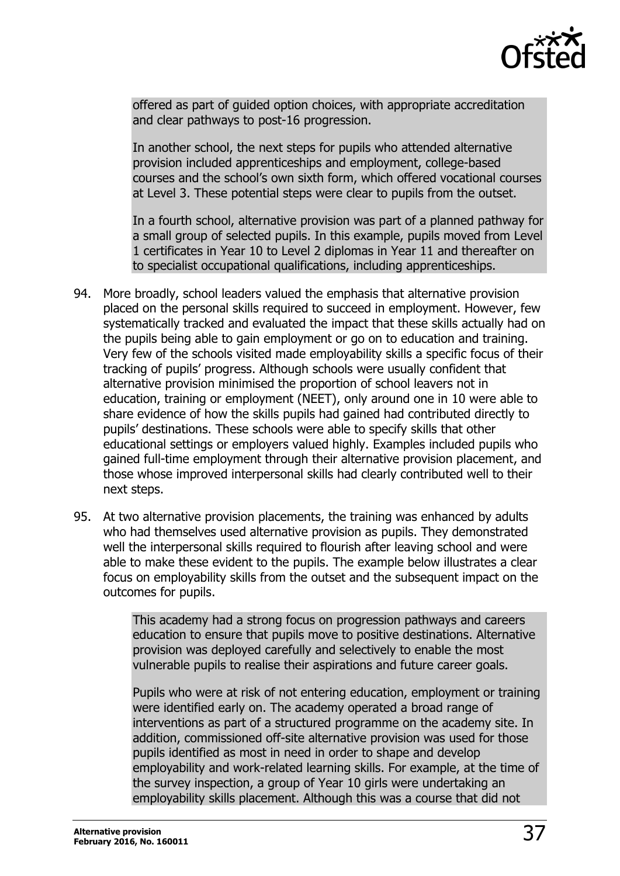

offered as part of guided option choices, with appropriate accreditation and clear pathways to post-16 progression.

In another school, the next steps for pupils who attended alternative provision included apprenticeships and employment, college-based courses and the school's own sixth form, which offered vocational courses at Level 3. These potential steps were clear to pupils from the outset.

In a fourth school, alternative provision was part of a planned pathway for a small group of selected pupils. In this example, pupils moved from Level 1 certificates in Year 10 to Level 2 diplomas in Year 11 and thereafter on to specialist occupational qualifications, including apprenticeships.

- 94. More broadly, school leaders valued the emphasis that alternative provision placed on the personal skills required to succeed in employment. However, few systematically tracked and evaluated the impact that these skills actually had on the pupils being able to gain employment or go on to education and training. Very few of the schools visited made employability skills a specific focus of their tracking of pupils' progress. Although schools were usually confident that alternative provision minimised the proportion of school leavers not in education, training or employment (NEET), only around one in 10 were able to share evidence of how the skills pupils had gained had contributed directly to pupils' destinations. These schools were able to specify skills that other educational settings or employers valued highly. Examples included pupils who gained full-time employment through their alternative provision placement, and those whose improved interpersonal skills had clearly contributed well to their next steps.
- 95. At two alternative provision placements, the training was enhanced by adults who had themselves used alternative provision as pupils. They demonstrated well the interpersonal skills required to flourish after leaving school and were able to make these evident to the pupils. The example below illustrates a clear focus on employability skills from the outset and the subsequent impact on the outcomes for pupils.

This academy had a strong focus on progression pathways and careers education to ensure that pupils move to positive destinations. Alternative provision was deployed carefully and selectively to enable the most vulnerable pupils to realise their aspirations and future career goals.

Pupils who were at risk of not entering education, employment or training were identified early on. The academy operated a broad range of interventions as part of a structured programme on the academy site. In addition, commissioned off-site alternative provision was used for those pupils identified as most in need in order to shape and develop employability and work-related learning skills. For example, at the time of the survey inspection, a group of Year 10 girls were undertaking an employability skills placement. Although this was a course that did not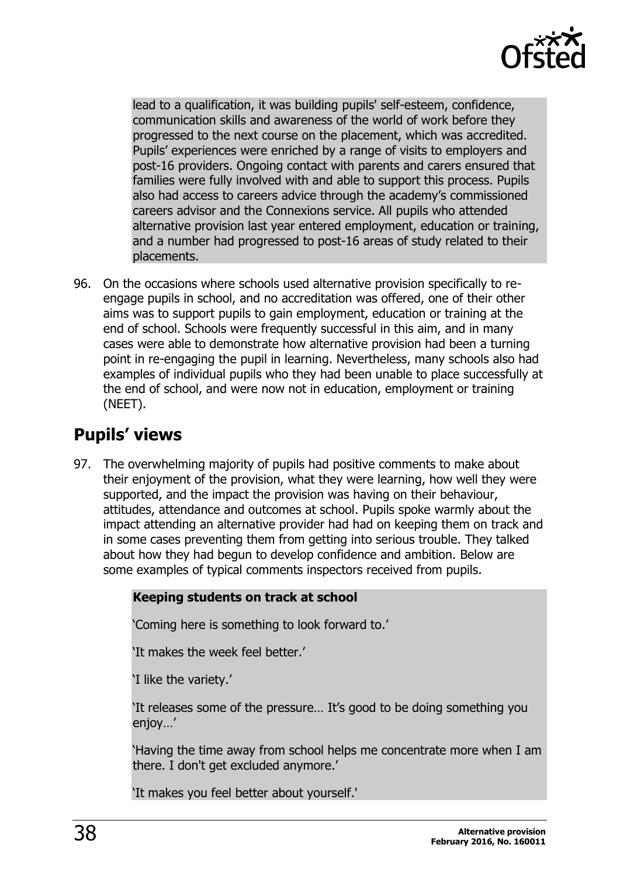

lead to a qualification, it was building pupils' self-esteem, confidence, communication skills and awareness of the world of work before they progressed to the next course on the placement, which was accredited. Pupils' experiences were enriched by a range of visits to employers and post-16 providers. Ongoing contact with parents and carers ensured that families were fully involved with and able to support this process. Pupils also had access to careers advice through the academy's commissioned careers advisor and the Connexions service. All pupils who attended alternative provision last year entered employment, education or training, and a number had progressed to post-16 areas of study related to their placements.

96. On the occasions where schools used alternative provision specifically to reengage pupils in school, and no accreditation was offered, one of their other aims was to support pupils to gain employment, education or training at the end of school. Schools were frequently successful in this aim, and in many cases were able to demonstrate how alternative provision had been a turning point in re-engaging the pupil in learning. Nevertheless, many schools also had examples of individual pupils who they had been unable to place successfully at the end of school, and were now not in education, employment or training (NEET).

# <span id="page-37-0"></span>**Pupils' views**

97. The overwhelming majority of pupils had positive comments to make about their enjoyment of the provision, what they were learning, how well they were supported, and the impact the provision was having on their behaviour, attitudes, attendance and outcomes at school. Pupils spoke warmly about the impact attending an alternative provider had had on keeping them on track and in some cases preventing them from getting into serious trouble. They talked about how they had begun to develop confidence and ambition. Below are some examples of typical comments inspectors received from pupils.

#### **Keeping students on track at school**

'Coming here is something to look forward to.'

'It makes the week feel better.'

'I like the variety.'

'It releases some of the pressure… It's good to be doing something you enjoy…'

'Having the time away from school helps me concentrate more when I am there. I don't get excluded anymore.'

'It makes you feel better about yourself.'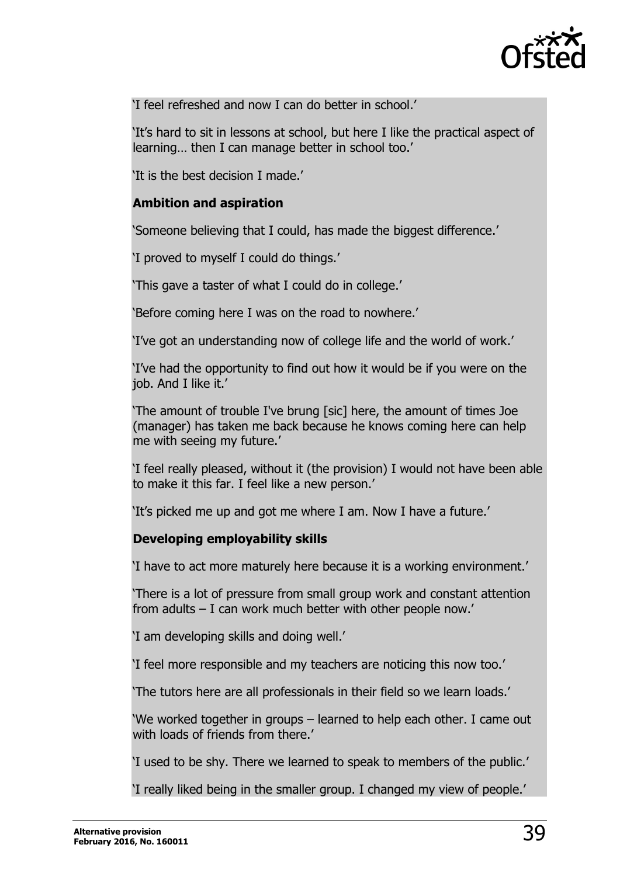

'I feel refreshed and now I can do better in school.'

'It's hard to sit in lessons at school, but here I like the practical aspect of learning… then I can manage better in school too.'

'It is the best decision I made.'

#### **Ambition and aspiration**

'Someone believing that I could, has made the biggest difference.'

'I proved to myself I could do things.'

'This gave a taster of what I could do in college.'

'Before coming here I was on the road to nowhere.'

'I've got an understanding now of college life and the world of work.'

'I've had the opportunity to find out how it would be if you were on the job. And I like it.'

'The amount of trouble I've brung [sic] here, the amount of times Joe (manager) has taken me back because he knows coming here can help me with seeing my future.'

'I feel really pleased, without it (the provision) I would not have been able to make it this far. I feel like a new person.'

'It's picked me up and got me where I am. Now I have a future.'

#### **Developing employability skills**

'I have to act more maturely here because it is a working environment.'

'There is a lot of pressure from small group work and constant attention from adults – I can work much better with other people now.'

'I am developing skills and doing well.'

'I feel more responsible and my teachers are noticing this now too.'

'The tutors here are all professionals in their field so we learn loads.'

'We worked together in groups – learned to help each other. I came out with loads of friends from there.'

'I used to be shy. There we learned to speak to members of the public.'

'I really liked being in the smaller group. I changed my view of people.'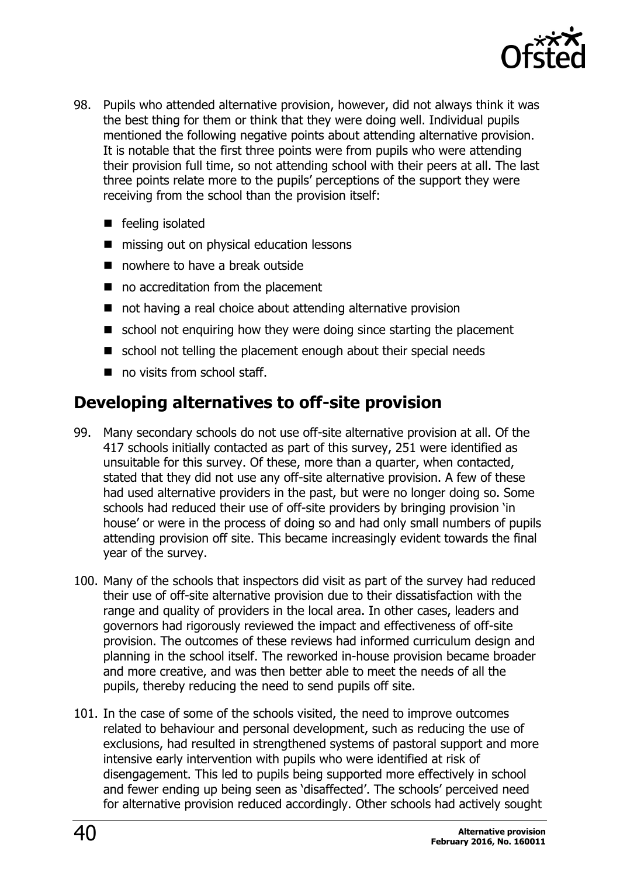

- 98. Pupils who attended alternative provision, however, did not always think it was the best thing for them or think that they were doing well. Individual pupils mentioned the following negative points about attending alternative provision. It is notable that the first three points were from pupils who were attending their provision full time, so not attending school with their peers at all. The last three points relate more to the pupils' perceptions of the support they were receiving from the school than the provision itself:
	- feeling isolated
	- missing out on physical education lessons
	- nowhere to have a break outside
	- no accreditation from the placement
	- not having a real choice about attending alternative provision
	- $\blacksquare$  school not enquiring how they were doing since starting the placement
	- school not telling the placement enough about their special needs
	- no visits from school staff.

### <span id="page-39-0"></span>**Developing alternatives to off-site provision**

- 99. Many secondary schools do not use off-site alternative provision at all. Of the 417 schools initially contacted as part of this survey, 251 were identified as unsuitable for this survey. Of these, more than a quarter, when contacted, stated that they did not use any off-site alternative provision. A few of these had used alternative providers in the past, but were no longer doing so. Some schools had reduced their use of off-site providers by bringing provision 'in house' or were in the process of doing so and had only small numbers of pupils attending provision off site. This became increasingly evident towards the final year of the survey.
- 100. Many of the schools that inspectors did visit as part of the survey had reduced their use of off-site alternative provision due to their dissatisfaction with the range and quality of providers in the local area. In other cases, leaders and governors had rigorously reviewed the impact and effectiveness of off-site provision. The outcomes of these reviews had informed curriculum design and planning in the school itself. The reworked in-house provision became broader and more creative, and was then better able to meet the needs of all the pupils, thereby reducing the need to send pupils off site.
- 101. In the case of some of the schools visited, the need to improve outcomes related to behaviour and personal development, such as reducing the use of exclusions, had resulted in strengthened systems of pastoral support and more intensive early intervention with pupils who were identified at risk of disengagement. This led to pupils being supported more effectively in school and fewer ending up being seen as 'disaffected'. The schools' perceived need for alternative provision reduced accordingly. Other schools had actively sought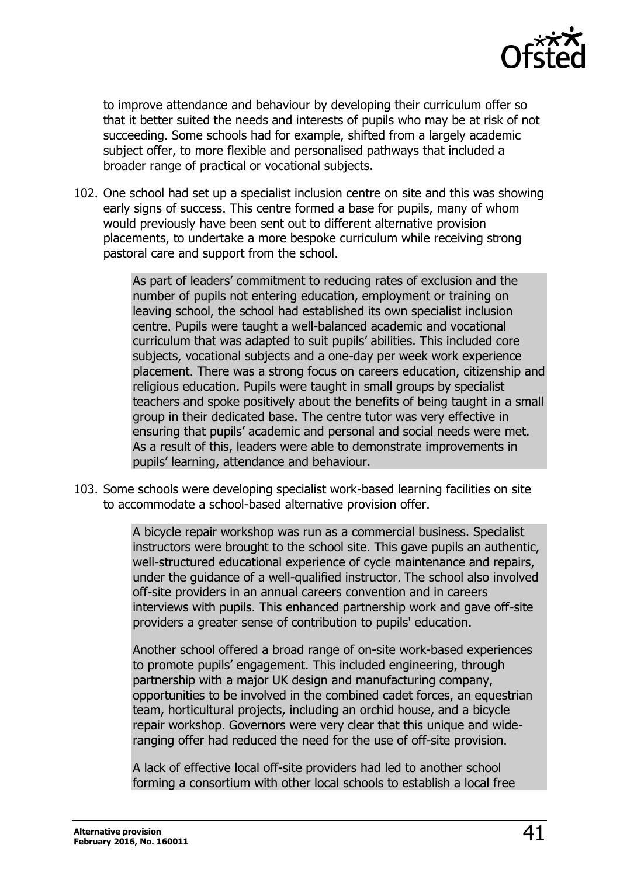

to improve attendance and behaviour by developing their curriculum offer so that it better suited the needs and interests of pupils who may be at risk of not succeeding. Some schools had for example, shifted from a largely academic subject offer, to more flexible and personalised pathways that included a broader range of practical or vocational subjects.

102. One school had set up a specialist inclusion centre on site and this was showing early signs of success. This centre formed a base for pupils, many of whom would previously have been sent out to different alternative provision placements, to undertake a more bespoke curriculum while receiving strong pastoral care and support from the school.

> As part of leaders' commitment to reducing rates of exclusion and the number of pupils not entering education, employment or training on leaving school, the school had established its own specialist inclusion centre. Pupils were taught a well-balanced academic and vocational curriculum that was adapted to suit pupils' abilities. This included core subjects, vocational subjects and a one-day per week work experience placement. There was a strong focus on careers education, citizenship and religious education. Pupils were taught in small groups by specialist teachers and spoke positively about the benefits of being taught in a small group in their dedicated base. The centre tutor was very effective in ensuring that pupils' academic and personal and social needs were met. As a result of this, leaders were able to demonstrate improvements in pupils' learning, attendance and behaviour.

103. Some schools were developing specialist work-based learning facilities on site to accommodate a school-based alternative provision offer.

> A bicycle repair workshop was run as a commercial business. Specialist instructors were brought to the school site. This gave pupils an authentic, well-structured educational experience of cycle maintenance and repairs, under the guidance of a well-qualified instructor. The school also involved off-site providers in an annual careers convention and in careers interviews with pupils. This enhanced partnership work and gave off-site providers a greater sense of contribution to pupils' education.

Another school offered a broad range of on-site work-based experiences to promote pupils' engagement. This included engineering, through partnership with a major UK design and manufacturing company, opportunities to be involved in the combined cadet forces, an equestrian team, horticultural projects, including an orchid house, and a bicycle repair workshop. Governors were very clear that this unique and wideranging offer had reduced the need for the use of off-site provision.

A lack of effective local off-site providers had led to another school forming a consortium with other local schools to establish a local free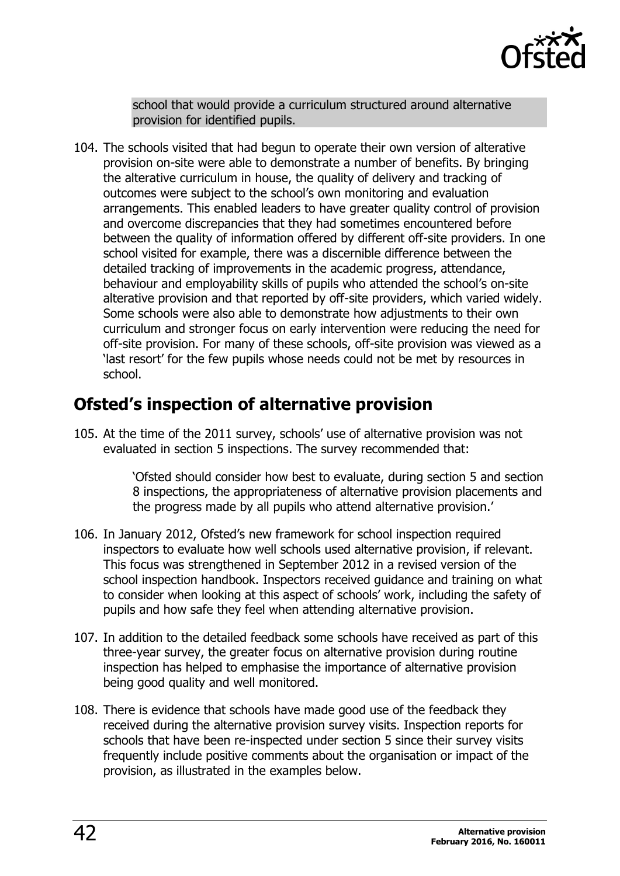

school that would provide a curriculum structured around alternative provision for identified pupils.

104. The schools visited that had begun to operate their own version of alterative provision on-site were able to demonstrate a number of benefits. By bringing the alterative curriculum in house, the quality of delivery and tracking of outcomes were subject to the school's own monitoring and evaluation arrangements. This enabled leaders to have greater quality control of provision and overcome discrepancies that they had sometimes encountered before between the quality of information offered by different off-site providers. In one school visited for example, there was a discernible difference between the detailed tracking of improvements in the academic progress, attendance, behaviour and employability skills of pupils who attended the school's on-site alterative provision and that reported by off-site providers, which varied widely. Some schools were also able to demonstrate how adjustments to their own curriculum and stronger focus on early intervention were reducing the need for off-site provision. For many of these schools, off-site provision was viewed as a 'last resort' for the few pupils whose needs could not be met by resources in school.

### <span id="page-41-0"></span>**Ofsted's inspection of alternative provision**

105. At the time of the 2011 survey, schools' use of alternative provision was not evaluated in section 5 inspections. The survey recommended that:

> 'Ofsted should consider how best to evaluate, during section 5 and section 8 inspections, the appropriateness of alternative provision placements and the progress made by all pupils who attend alternative provision.'

- 106. In January 2012, Ofsted's new framework for school inspection required inspectors to evaluate how well schools used alternative provision, if relevant. This focus was strengthened in September 2012 in a revised version of the school inspection handbook. Inspectors received guidance and training on what to consider when looking at this aspect of schools' work, including the safety of pupils and how safe they feel when attending alternative provision.
- 107. In addition to the detailed feedback some schools have received as part of this three-year survey, the greater focus on alternative provision during routine inspection has helped to emphasise the importance of alternative provision being good quality and well monitored.
- 108. There is evidence that schools have made good use of the feedback they received during the alternative provision survey visits. Inspection reports for schools that have been re-inspected under section 5 since their survey visits frequently include positive comments about the organisation or impact of the provision, as illustrated in the examples below.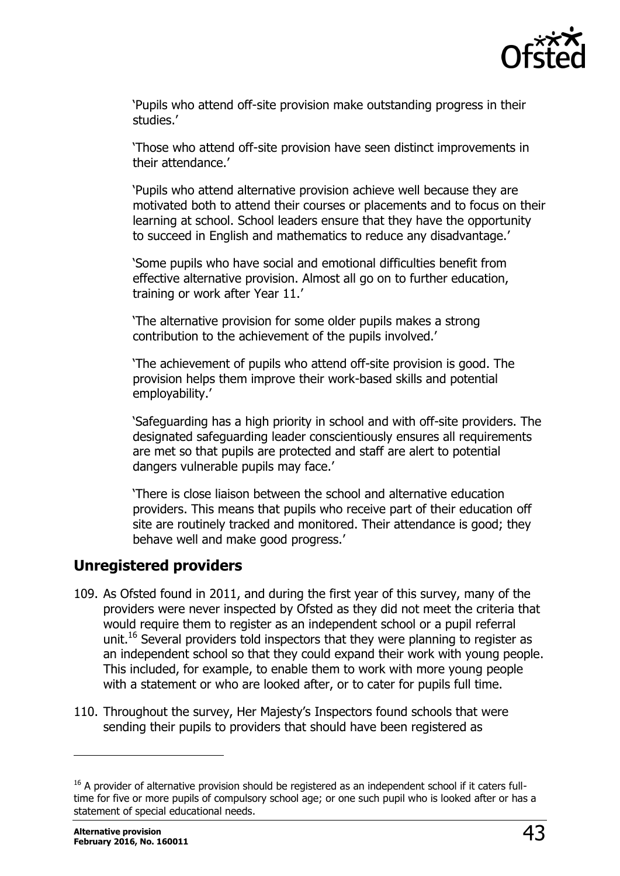

'Pupils who attend off-site provision make outstanding progress in their studies.'

'Those who attend off-site provision have seen distinct improvements in their attendance.'

'Pupils who attend alternative provision achieve well because they are motivated both to attend their courses or placements and to focus on their learning at school. School leaders ensure that they have the opportunity to succeed in English and mathematics to reduce any disadvantage.'

'Some pupils who have social and emotional difficulties benefit from effective alternative provision. Almost all go on to further education, training or work after Year 11.'

'The alternative provision for some older pupils makes a strong contribution to the achievement of the pupils involved.'

'The achievement of pupils who attend off-site provision is good. The provision helps them improve their work-based skills and potential employability.'

'Safeguarding has a high priority in school and with off-site providers. The designated safeguarding leader conscientiously ensures all requirements are met so that pupils are protected and staff are alert to potential dangers vulnerable pupils may face.'

'There is close liaison between the school and alternative education providers. This means that pupils who receive part of their education off site are routinely tracked and monitored. Their attendance is good; they behave well and make good progress.'

#### <span id="page-42-0"></span>**Unregistered providers**

- 109. As Ofsted found in 2011, and during the first year of this survey, many of the providers were never inspected by Ofsted as they did not meet the criteria that would require them to register as an independent school or a pupil referral unit.<sup>16</sup> Several providers told inspectors that they were planning to register as an independent school so that they could expand their work with young people. This included, for example, to enable them to work with more young people with a statement or who are looked after, or to cater for pupils full time.
- 110. Throughout the survey, Her Majesty's Inspectors found schools that were sending their pupils to providers that should have been registered as

-

<sup>&</sup>lt;sup>16</sup> A provider of alternative provision should be registered as an independent school if it caters fulltime for five or more pupils of compulsory school age; or one such pupil who is looked after or has a statement of special educational needs.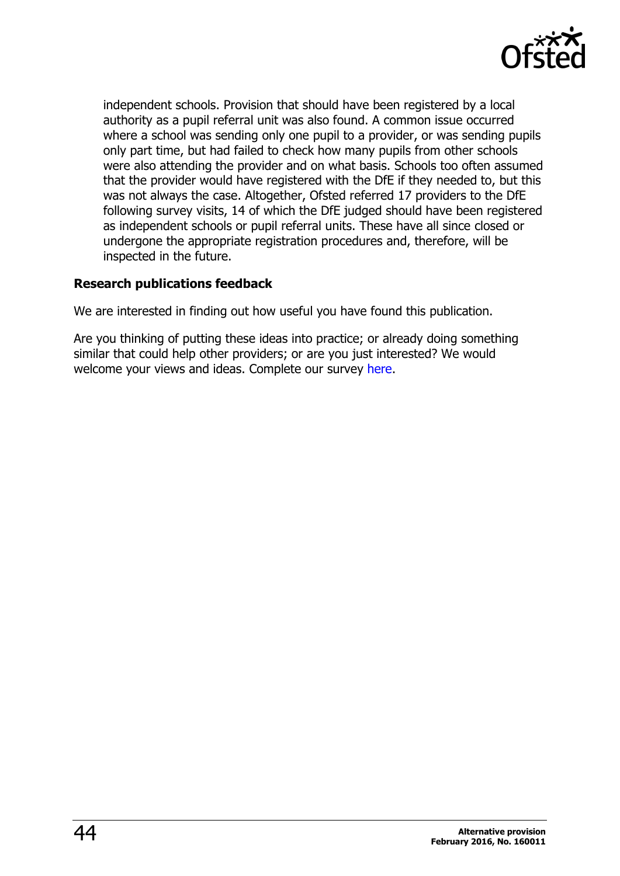

independent schools. Provision that should have been registered by a local authority as a pupil referral unit was also found. A common issue occurred where a school was sending only one pupil to a provider, or was sending pupils only part time, but had failed to check how many pupils from other schools were also attending the provider and on what basis. Schools too often assumed that the provider would have registered with the DfE if they needed to, but this was not always the case. Altogether, Ofsted referred 17 providers to the DfE following survey visits, 14 of which the DfE judged should have been registered as independent schools or pupil referral units. These have all since closed or undergone the appropriate registration procedures and, therefore, will be inspected in the future.

#### **Research publications feedback**

We are interested in finding out how useful you have found this publication.

Are you thinking of putting these ideas into practice; or already doing something similar that could help other providers; or are you just interested? We would welcome your views and ideas. Complete our survey [here.](https://www.surveymonkey.com/r/researchpublications)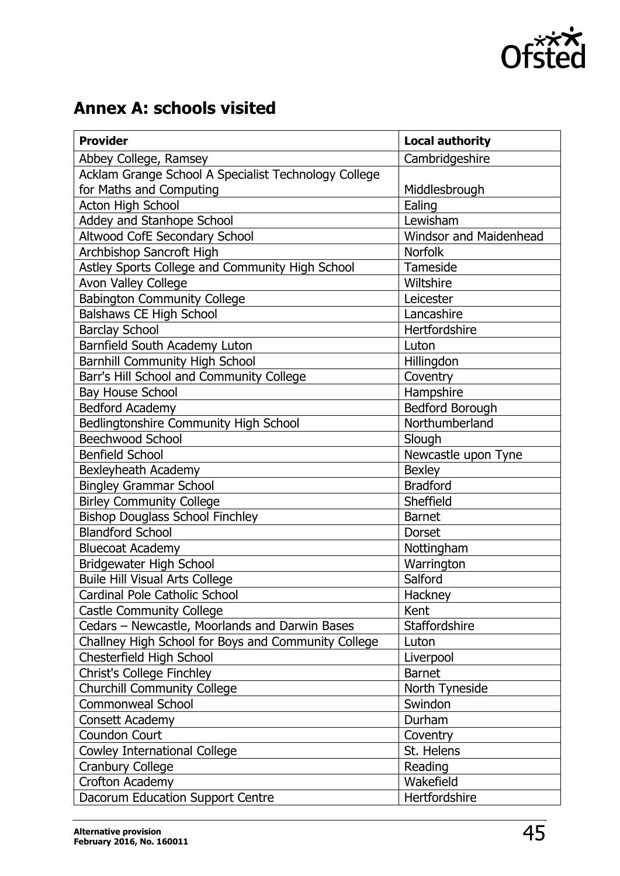

# <span id="page-44-0"></span>**Annex A: schools visited**

| <b>Provider</b>                                      | <b>Local authority</b>        |
|------------------------------------------------------|-------------------------------|
| Abbey College, Ramsey                                | Cambridgeshire                |
| Acklam Grange School A Specialist Technology College |                               |
| for Maths and Computing                              | Middlesbrough                 |
| <b>Acton High School</b>                             | Ealing                        |
| Addey and Stanhope School                            | Lewisham                      |
| Altwood CofE Secondary School                        | <b>Windsor and Maidenhead</b> |
| Archbishop Sancroft High                             | <b>Norfolk</b>                |
| Astley Sports College and Community High School      | Tameside                      |
| Avon Valley College                                  | Wiltshire                     |
| <b>Babington Community College</b>                   | Leicester                     |
| Balshaws CE High School                              | Lancashire                    |
| <b>Barclay School</b>                                | Hertfordshire                 |
| Barnfield South Academy Luton                        | Luton                         |
| <b>Barnhill Community High School</b>                | Hillingdon                    |
| Barr's Hill School and Community College             | Coventry                      |
| <b>Bay House School</b>                              | Hampshire                     |
| Bedford Academy                                      | Bedford Borough               |
| Bedlingtonshire Community High School                | Northumberland                |
| <b>Beechwood School</b>                              | Slough                        |
| <b>Benfield School</b>                               | Newcastle upon Tyne           |
| Bexleyheath Academy                                  | <b>Bexley</b>                 |
| <b>Bingley Grammar School</b>                        | <b>Bradford</b>               |
| <b>Birley Community College</b>                      | Sheffield                     |
| <b>Bishop Douglass School Finchley</b>               | <b>Barnet</b>                 |
| <b>Blandford School</b>                              | Dorset                        |
| <b>Bluecoat Academy</b>                              | Nottingham                    |
| Bridgewater High School                              | Warrington                    |
| <b>Buile Hill Visual Arts College</b>                | Salford                       |
| Cardinal Pole Catholic School                        | Hackney                       |
| <b>Castle Community College</b>                      | Kent                          |
| Cedars - Newcastle, Moorlands and Darwin Bases       | Staffordshire                 |
| Challney High School for Boys and Community College  | Luton                         |
| Chesterfield High School                             | Liverpool                     |
| Christ's College Finchley                            | <b>Barnet</b>                 |
| <b>Churchill Community College</b>                   | North Tyneside                |
| <b>Commonweal School</b>                             | Swindon                       |
| Consett Academy                                      | Durham                        |
| <b>Coundon Court</b>                                 | Coventry                      |
| Cowley International College                         | St. Helens                    |
| <b>Cranbury College</b>                              | Reading                       |
| Crofton Academy                                      | Wakefield                     |
| Dacorum Education Support Centre                     | Hertfordshire                 |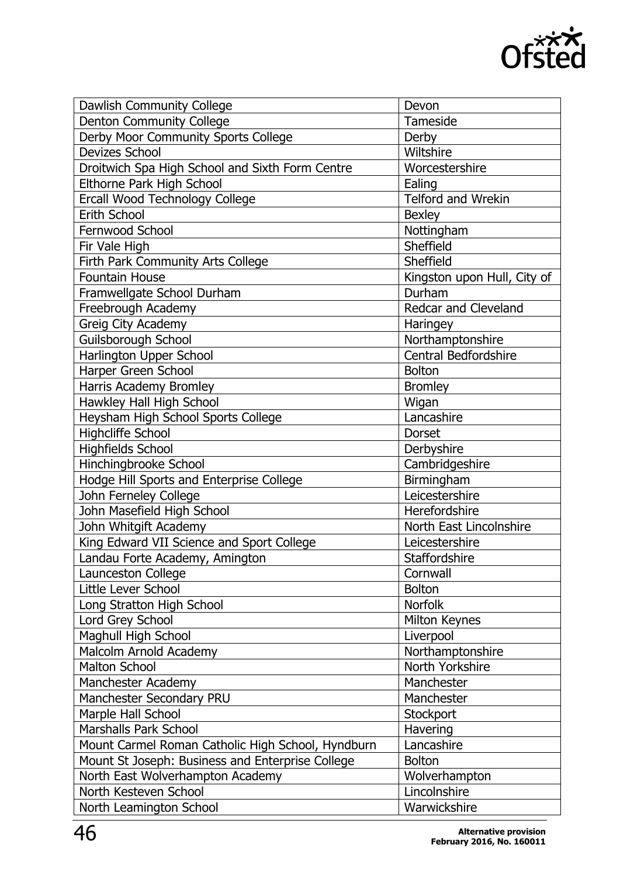

| Dawlish Community College                         | Devon                       |  |
|---------------------------------------------------|-----------------------------|--|
| <b>Denton Community College</b>                   | Tameside                    |  |
| Derby Moor Community Sports College               | Derby                       |  |
| <b>Devizes School</b>                             | Wiltshire                   |  |
| Droitwich Spa High School and Sixth Form Centre   | Worcestershire              |  |
| Elthorne Park High School                         | Ealing                      |  |
| Ercall Wood Technology College                    | Telford and Wrekin          |  |
| Erith School                                      | <b>Bexley</b>               |  |
| Fernwood School                                   | Nottingham                  |  |
| Fir Vale High                                     | Sheffield                   |  |
| Firth Park Community Arts College                 | Sheffield                   |  |
| <b>Fountain House</b>                             | Kingston upon Hull, City of |  |
| Framwellgate School Durham                        | Durham                      |  |
| Freebrough Academy                                | Redcar and Cleveland        |  |
| Greig City Academy                                | Haringey                    |  |
| Guilsborough School                               | Northamptonshire            |  |
| Harlington Upper School                           | <b>Central Bedfordshire</b> |  |
| Harper Green School                               | <b>Bolton</b>               |  |
| Harris Academy Bromley                            | <b>Bromley</b>              |  |
| Hawkley Hall High School                          | Wigan                       |  |
| Heysham High School Sports College                | Lancashire                  |  |
| <b>Highcliffe School</b>                          | <b>Dorset</b>               |  |
| <b>Highfields School</b>                          | Derbyshire                  |  |
| Hinchingbrooke School                             | Cambridgeshire              |  |
| Hodge Hill Sports and Enterprise College          | Birmingham                  |  |
| John Ferneley College                             | Leicestershire              |  |
| John Masefield High School                        | Herefordshire               |  |
| John Whitgift Academy                             | North East Lincolnshire     |  |
| King Edward VII Science and Sport College         | Leicestershire              |  |
| Landau Forte Academy, Amington                    | Staffordshire               |  |
| Launceston College                                | Cornwall                    |  |
| Little Lever School                               | <b>Bolton</b>               |  |
| Long Stratton High School                         | Norfolk                     |  |
| Lord Grey School                                  | Milton Keynes               |  |
| Maghull High School                               | Liverpool                   |  |
| Malcolm Arnold Academy                            | Northamptonshire            |  |
| <b>Malton School</b>                              | North Yorkshire             |  |
|                                                   | Manchester                  |  |
| Manchester Academy<br>Manchester Secondary PRU    | Manchester                  |  |
|                                                   |                             |  |
| Marple Hall School                                | Stockport                   |  |
| <b>Marshalls Park School</b>                      | Havering                    |  |
| Mount Carmel Roman Catholic High School, Hyndburn | Lancashire                  |  |
| Mount St Joseph: Business and Enterprise College  | <b>Bolton</b>               |  |
| North East Wolverhampton Academy                  | Wolverhampton               |  |
| North Kesteven School                             | Lincolnshire                |  |
| North Leamington School                           | Warwickshire                |  |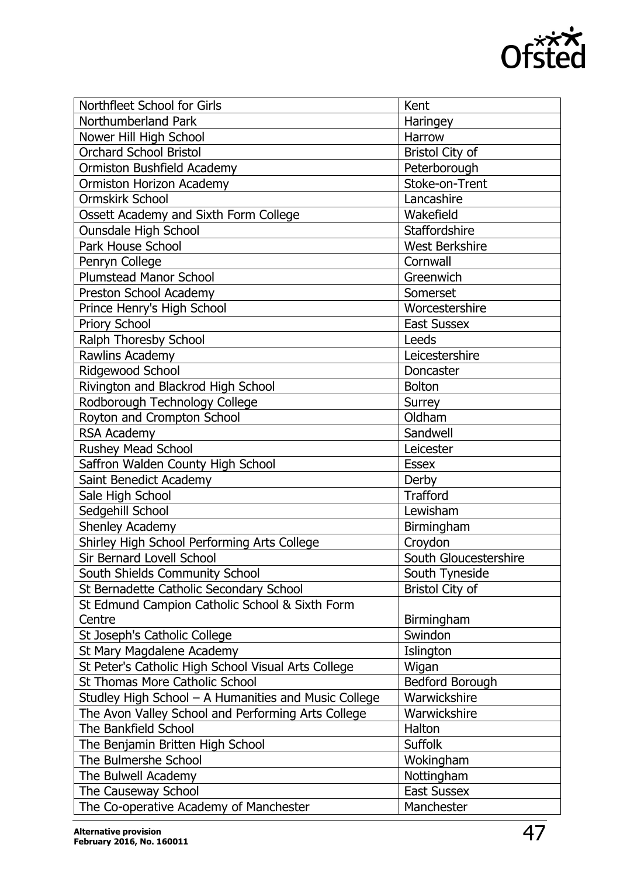

| Northfleet School for Girls                          | Kent                   |  |
|------------------------------------------------------|------------------------|--|
| Northumberland Park                                  | Haringey               |  |
| Nower Hill High School                               | Harrow                 |  |
| <b>Orchard School Bristol</b>                        | <b>Bristol City of</b> |  |
| Ormiston Bushfield Academy                           | Peterborough           |  |
| Ormiston Horizon Academy                             | Stoke-on-Trent         |  |
| <b>Ormskirk School</b>                               | Lancashire             |  |
| Ossett Academy and Sixth Form College                | Wakefield              |  |
| <b>Ounsdale High School</b>                          | Staffordshire          |  |
| Park House School                                    | <b>West Berkshire</b>  |  |
| Penryn College                                       | Cornwall               |  |
| <b>Plumstead Manor School</b>                        | Greenwich              |  |
| Preston School Academy                               | Somerset               |  |
| Prince Henry's High School                           | Worcestershire         |  |
| Priory School                                        | <b>East Sussex</b>     |  |
| Ralph Thoresby School                                | Leeds                  |  |
| Rawlins Academy                                      | Leicestershire         |  |
| Ridgewood School                                     | Doncaster              |  |
| Rivington and Blackrod High School                   | <b>Bolton</b>          |  |
| Rodborough Technology College                        | Surrey                 |  |
| Royton and Crompton School                           | Oldham                 |  |
| <b>RSA Academy</b>                                   | Sandwell               |  |
| <b>Rushey Mead School</b>                            | Leicester              |  |
| Saffron Walden County High School                    | <b>Essex</b>           |  |
| Saint Benedict Academy                               | Derby                  |  |
| Sale High School                                     | <b>Trafford</b>        |  |
| Sedgehill School                                     | Lewisham               |  |
| Shenley Academy                                      | Birmingham             |  |
| Shirley High School Performing Arts College          | Croydon                |  |
| Sir Bernard Lovell School                            | South Gloucestershire  |  |
| South Shields Community School                       | South Tyneside         |  |
| St Bernadette Catholic Secondary School              | <b>Bristol City of</b> |  |
| St Edmund Campion Catholic School & Sixth Form       |                        |  |
| Centre                                               | Birmingham             |  |
| St Joseph's Catholic College                         | Swindon                |  |
| St Mary Magdalene Academy                            | Islington              |  |
| St Peter's Catholic High School Visual Arts College  | Wigan                  |  |
| St Thomas More Catholic School                       | Bedford Borough        |  |
| Studley High School - A Humanities and Music College | Warwickshire           |  |
| The Avon Valley School and Performing Arts College   | Warwickshire           |  |
| The Bankfield School                                 | Halton                 |  |
| The Benjamin Britten High School                     | <b>Suffolk</b>         |  |
| The Bulmershe School                                 | Wokingham              |  |
| The Bulwell Academy                                  | Nottingham             |  |
| The Causeway School                                  | <b>East Sussex</b>     |  |
| The Co-operative Academy of Manchester               | Manchester             |  |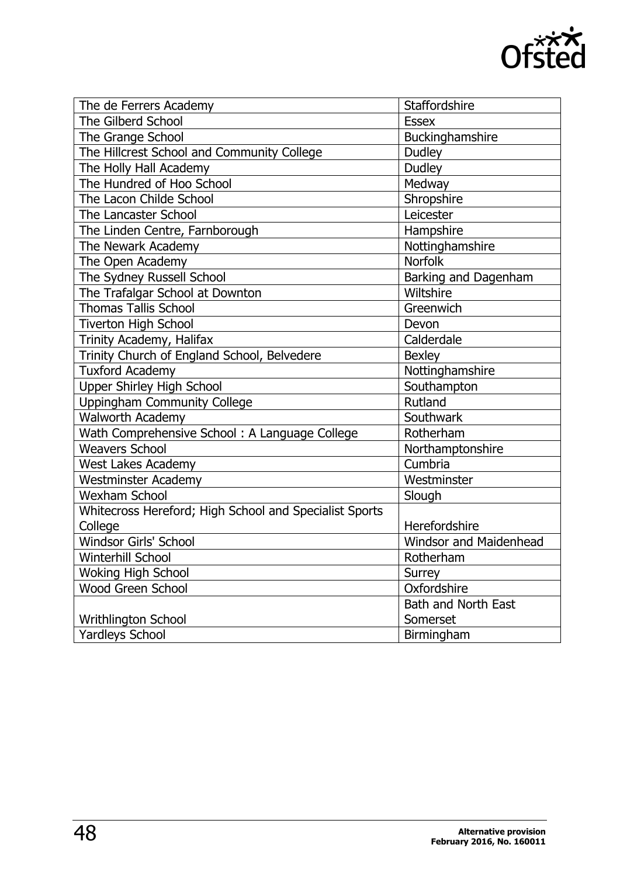

| The de Ferrers Academy                                 | Staffordshire          |
|--------------------------------------------------------|------------------------|
| <b>The Gilberd School</b>                              | <b>Essex</b>           |
| The Grange School                                      | Buckinghamshire        |
| The Hillcrest School and Community College             | <b>Dudley</b>          |
| The Holly Hall Academy                                 | <b>Dudley</b>          |
| The Hundred of Hoo School                              | Medway                 |
| The Lacon Childe School                                | Shropshire             |
| The Lancaster School                                   | Leicester              |
| The Linden Centre, Farnborough                         | Hampshire              |
| The Newark Academy                                     | Nottinghamshire        |
| The Open Academy                                       | <b>Norfolk</b>         |
| The Sydney Russell School                              | Barking and Dagenham   |
| The Trafalgar School at Downton                        | Wiltshire              |
| <b>Thomas Tallis School</b>                            | Greenwich              |
| <b>Tiverton High School</b>                            | Devon                  |
| Trinity Academy, Halifax                               | Calderdale             |
| Trinity Church of England School, Belvedere            | <b>Bexley</b>          |
| <b>Tuxford Academy</b>                                 | Nottinghamshire        |
| <b>Upper Shirley High School</b>                       | Southampton            |
| <b>Uppingham Community College</b>                     | <b>Rutland</b>         |
| <b>Walworth Academy</b>                                | Southwark              |
| Wath Comprehensive School: A Language College          | Rotherham              |
| <b>Weavers School</b>                                  | Northamptonshire       |
| West Lakes Academy                                     | Cumbria                |
| <b>Westminster Academy</b>                             | Westminster            |
| <b>Wexham School</b>                                   | Slough                 |
| Whitecross Hereford; High School and Specialist Sports |                        |
| College                                                | Herefordshire          |
| Windsor Girls' School                                  | Windsor and Maidenhead |
| Winterhill School                                      | Rotherham              |
| <b>Woking High School</b>                              | Surrey                 |
| <b>Wood Green School</b>                               | Oxfordshire            |
|                                                        | Bath and North East    |
| Writhlington School                                    | Somerset               |
| <b>Yardleys School</b>                                 | Birmingham             |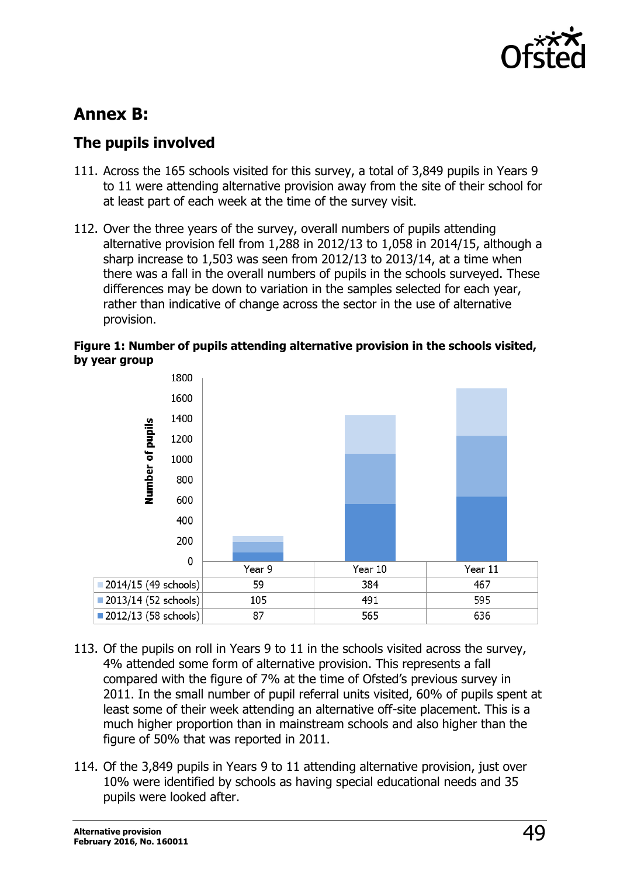

### <span id="page-48-0"></span>**Annex B:**

#### <span id="page-48-1"></span>**The pupils involved**

- 111. Across the 165 schools visited for this survey, a total of 3,849 pupils in Years 9 to 11 were attending alternative provision away from the site of their school for at least part of each week at the time of the survey visit.
- 112. Over the three years of the survey, overall numbers of pupils attending alternative provision fell from 1,288 in 2012/13 to 1,058 in 2014/15, although a sharp increase to 1,503 was seen from 2012/13 to 2013/14, at a time when there was a fall in the overall numbers of pupils in the schools surveyed. These differences may be down to variation in the samples selected for each year, rather than indicative of change across the sector in the use of alternative provision.

#### **Figure 1: Number of pupils attending alternative provision in the schools visited, by year group**



- 113. Of the pupils on roll in Years 9 to 11 in the schools visited across the survey, 4% attended some form of alternative provision. This represents a fall compared with the figure of 7% at the time of Ofsted's previous survey in 2011. In the small number of pupil referral units visited, 60% of pupils spent at least some of their week attending an alternative off-site placement. This is a much higher proportion than in mainstream schools and also higher than the figure of 50% that was reported in 2011.
- 114. Of the 3,849 pupils in Years 9 to 11 attending alternative provision, just over 10% were identified by schools as having special educational needs and 35 pupils were looked after.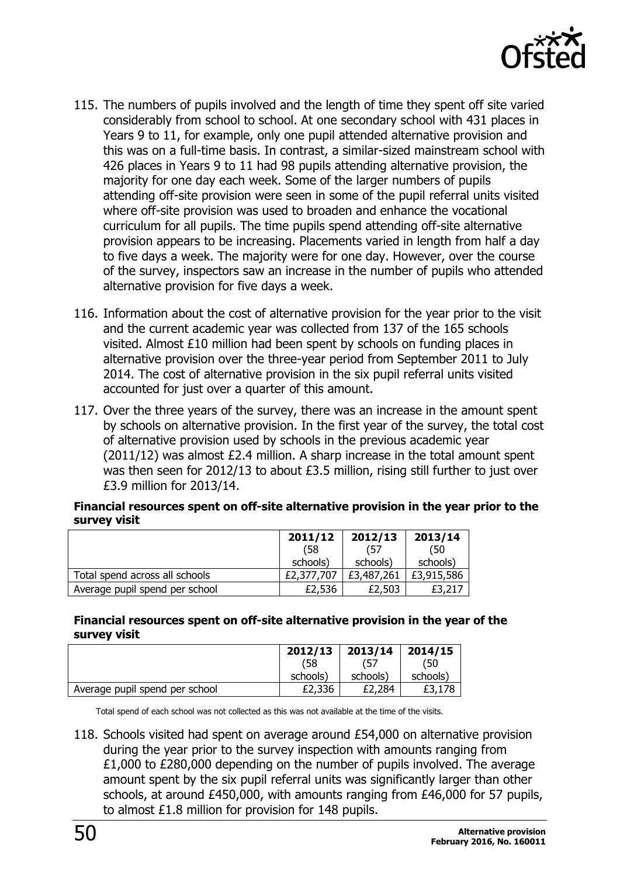

- 115. The numbers of pupils involved and the length of time they spent off site varied considerably from school to school. At one secondary school with 431 places in Years 9 to 11, for example, only one pupil attended alternative provision and this was on a full-time basis. In contrast, a similar-sized mainstream school with 426 places in Years 9 to 11 had 98 pupils attending alternative provision, the majority for one day each week. Some of the larger numbers of pupils attending off-site provision were seen in some of the pupil referral units visited where off-site provision was used to broaden and enhance the vocational curriculum for all pupils. The time pupils spend attending off-site alternative provision appears to be increasing. Placements varied in length from half a day to five days a week. The majority were for one day. However, over the course of the survey, inspectors saw an increase in the number of pupils who attended alternative provision for five days a week.
- 116. Information about the cost of alternative provision for the year prior to the visit and the current academic year was collected from 137 of the 165 schools visited. Almost £10 million had been spent by schools on funding places in alternative provision over the three-year period from September 2011 to July 2014. The cost of alternative provision in the six pupil referral units visited accounted for just over a quarter of this amount.
- 117. Over the three years of the survey, there was an increase in the amount spent by schools on alternative provision. In the first year of the survey, the total cost of alternative provision used by schools in the previous academic year (2011/12) was almost £2.4 million. A sharp increase in the total amount spent was then seen for 2012/13 to about £3.5 million, rising still further to just over £3.9 million for 2013/14.

#### **Financial resources spent on off-site alternative provision in the year prior to the survey visit**

|                                | 2011/12    | 2012/13    | 2013/14    |
|--------------------------------|------------|------------|------------|
|                                | (58        | (57        | (50        |
|                                | schools)   | schools)   | schools)   |
| Total spend across all schools | £2,377,707 | £3,487,261 | £3,915,586 |
| Average pupil spend per school | £2,536     | £2,503     |            |

#### **Financial resources spent on off-site alternative provision in the year of the survey visit**

|                                | 2012/13  | 2013/14  | 2014/15  |
|--------------------------------|----------|----------|----------|
|                                | (58      |          | '50      |
|                                | schools) | schools) | schools) |
| Average pupil spend per school | £2,336   | £2,284   | £3,178   |

Total spend of each school was not collected as this was not available at the time of the visits.

118. Schools visited had spent on average around £54,000 on alternative provision during the year prior to the survey inspection with amounts ranging from £1,000 to £280,000 depending on the number of pupils involved. The average amount spent by the six pupil referral units was significantly larger than other schools, at around £450,000, with amounts ranging from £46,000 for 57 pupils, to almost £1.8 million for provision for 148 pupils.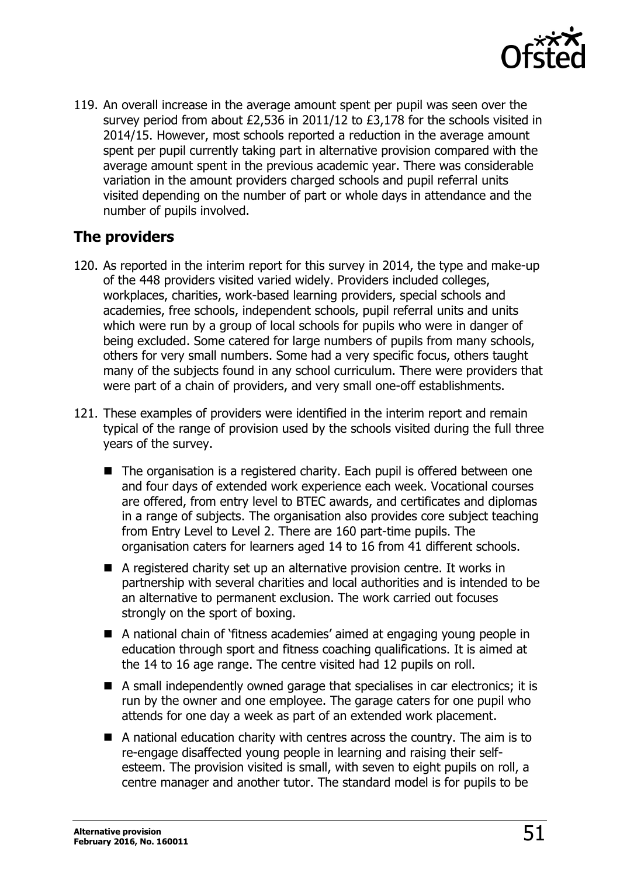

119. An overall increase in the average amount spent per pupil was seen over the survey period from about £2,536 in 2011/12 to £3,178 for the schools visited in 2014/15. However, most schools reported a reduction in the average amount spent per pupil currently taking part in alternative provision compared with the average amount spent in the previous academic year. There was considerable variation in the amount providers charged schools and pupil referral units visited depending on the number of part or whole days in attendance and the number of pupils involved.

#### <span id="page-50-0"></span>**The providers**

- 120. As reported in the interim report for this survey in 2014, the type and make-up of the 448 providers visited varied widely. Providers included colleges, workplaces, charities, work-based learning providers, special schools and academies, free schools, independent schools, pupil referral units and units which were run by a group of local schools for pupils who were in danger of being excluded. Some catered for large numbers of pupils from many schools, others for very small numbers. Some had a very specific focus, others taught many of the subjects found in any school curriculum. There were providers that were part of a chain of providers, and very small one-off establishments.
- 121. These examples of providers were identified in the interim report and remain typical of the range of provision used by the schools visited during the full three years of the survey.
	- The organisation is a registered charity. Each pupil is offered between one and four days of extended work experience each week. Vocational courses are offered, from entry level to BTEC awards, and certificates and diplomas in a range of subjects. The organisation also provides core subject teaching from Entry Level to Level 2. There are 160 part-time pupils. The organisation caters for learners aged 14 to 16 from 41 different schools.
	- A registered charity set up an alternative provision centre. It works in partnership with several charities and local authorities and is intended to be an alternative to permanent exclusion. The work carried out focuses strongly on the sport of boxing.
	- A national chain of 'fitness academies' aimed at engaging young people in education through sport and fitness coaching qualifications. It is aimed at the 14 to 16 age range. The centre visited had 12 pupils on roll.
	- A small independently owned garage that specialises in car electronics; it is run by the owner and one employee. The garage caters for one pupil who attends for one day a week as part of an extended work placement.
	- A national education charity with centres across the country. The aim is to re-engage disaffected young people in learning and raising their selfesteem. The provision visited is small, with seven to eight pupils on roll, a centre manager and another tutor. The standard model is for pupils to be